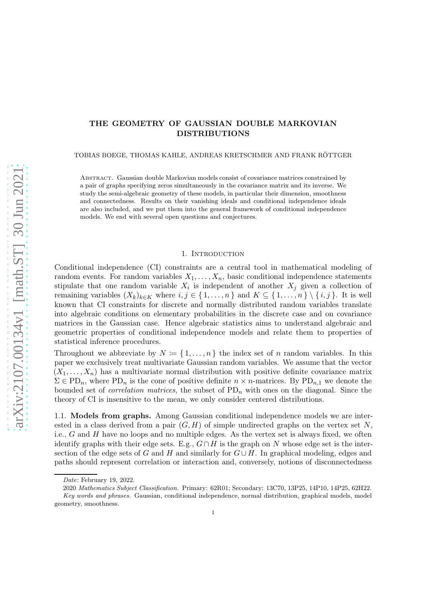# THE GEOMETRY OF GAUSSIAN DOUBLE MARKOVIAN DISTRIBUTIONS

TOBIAS BOEGE, THOMAS KAHLE, ANDREAS KRETSCHMER AND FRANK RÖTTGER

Abstract. Gaussian double Markovian models consist of covariance matrices constrained by a pair of graphs specifying zeros simultaneously in the covariance matrix and its inverse. We study the semi-algebraic geometry of these models, in particular their dimension, smoothness and connectedness. Results on their vanishing ideals and conditional independence ideals are also included, and we put them into the general framework of conditional independence models. We end with several open questions and conjectures.

## 1. Introduction

Conditional independence (CI) constraints are a central tool in mathematical modeling of random events. For random variables  $X_1, \ldots, X_n$ , basic conditional independence statements stipulate that one random variable  $X_i$  is independent of another  $X_j$  given a collection of remaining variables  $(X_k)_{k\in K}$  where  $i, j \in \{1, \ldots, n\}$  and  $K \subseteq \{1, \ldots, n\} \setminus \{i, j\}$ . It is well known that CI constraints for discrete and normally distributed random variables translate into algebraic conditions on elementary probabilities in the discrete case and on covariance matrices in the Gaussian case. Hence algebraic statistics aims to understand algebraic and geometric properties of conditional independence models and relate them to properties of statistical inference procedures.

Throughout we abbreviate by  $N := \{1, \ldots, n\}$  the index set of n random variables. In this paper we exclusively treat multivariate Gaussian random variables. We assume that the vector  $(X_1, \ldots, X_n)$  has a multivariate normal distribution with positive definite covariance matrix  $\Sigma \in \mathrm{PD}_n$ , where  $\mathrm{PD}_n$  is the cone of positive definite  $n \times n$ -matrices. By  $\mathrm{PD}_{n,1}$  we denote the bounded set of *correlation matrices*, the subset of  $PD_n$  with ones on the diagonal. Since the theory of CI is insensitive to the mean, we only consider centered distributions.

1.1. Models from graphs. Among Gaussian conditional independence models we are interested in a class derived from a pair  $(G, H)$  of simple undirected graphs on the vertex set N, i.e., G and H have no loops and no multiple edges. As the vertex set is always fixed, we often identify graphs with their edge sets. E.g.,  $G \cap H$  is the graph on N whose edge set is the intersection of the edge sets of G and H and similarly for  $G \cup H$ . In graphical modeling, edges and paths should represent correlation or interaction and, conversely, notions of disconnectedness

Date: February 19, 2022.

<sup>2020</sup> Mathematics Subject Classification. Primary: 62R01; Secondary: 13C70, 13P25, 14P10, 14P25, 62H22. Key words and phrases. Gaussian, conditional independence, normal distribution, graphical models, model geometry, smoothness.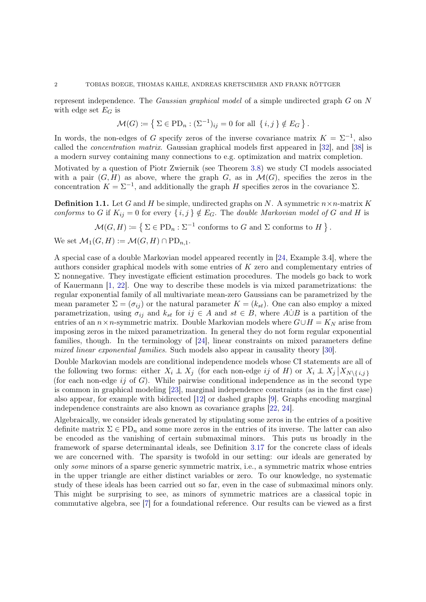represent independence. The Gaussian graphical model of a simple undirected graph G on N with edge set  $E_G$  is

$$
\mathcal{M}(G) := \left\{ \Sigma \in \mathrm{PD}_n : (\Sigma^{-1})_{ij} = 0 \text{ for all } \{i, j\} \notin E_G \right\}.
$$

In words, the non-edges of G specify zeros of the inverse covariance matrix  $K = \Sigma^{-1}$ , also called the concentration matrix. Gaussian graphical models first appeared in [\[32\]](#page-28-0), and [\[38\]](#page-28-1) is a modern survey containing many connections to e.g. optimization and matrix completion.

Motivated by a question of Piotr Zwiernik (see Theorem [3.8\)](#page-16-0) we study CI models associated with a pair  $(G, H)$  as above, where the graph G, as in  $\mathcal{M}(G)$ , specifies the zeros in the concentration  $K = \Sigma^{-1}$ , and additionally the graph H specifies zeros in the covariance  $\Sigma$ .

**Definition 1.1.** Let G and H be simple, undirected graphs on N. A symmetric  $n \times n$ -matrix K conforms to G if  $K_{ij} = 0$  for every  $\{i, j\} \notin E_G$ . The double Markovian model of G and H is

$$
\mathcal{M}(G,H) \coloneqq \left\{ \Sigma \in \mathrm{PD}_n : \Sigma^{-1} \text{ conforms to } G \text{ and } \Sigma \text{ conforms to } H \right\}.
$$

We set  $\mathcal{M}_1(G,H) := \mathcal{M}(G,H) \cap \mathrm{PD}_{n-1}$ .

A special case of a double Markovian model appeared recently in [\[24,](#page-28-2) Example 3.4], where the authors consider graphical models with some entries of K zero and complementary entries of  $\Sigma$  nonnegative. They investigate efficient estimation procedures. The models go back to work of Kauermann [\[1,](#page-27-0) [22\]](#page-28-3). One way to describe these models is via mixed parametrizations: the regular exponential family of all multivariate mean-zero Gaussians can be parametrized by the mean parameter  $\Sigma = (\sigma_{ij})$  or the natural parameter  $K = (k_{st})$ . One can also employ a mixed parametrization, using  $\sigma_{ij}$  and  $k_{st}$  for  $ij \in A$  and  $st \in B$ , where  $A \dot{\cup} B$  is a partition of the entries of an  $n \times n$ -symmetric matrix. Double Markovian models where  $G \cup H = K_N$  arise from imposing zeros in the mixed parametrization. In general they do not form regular exponential families, though. In the terminology of [\[24\]](#page-28-2), linear constraints on mixed parameters define mixed linear exponential families. Such models also appear in causality theory [\[30\]](#page-28-4).

Double Markovian models are conditional independence models whose CI statements are all of the following two forms: either  $X_i \perp X_j$  (for each non-edge ij of H) or  $X_i \perp X_j | X_{N\setminus\{i,j\}}$ (for each non-edge  $ij$  of G). While pairwise conditional independence as in the second type is common in graphical modeling [\[23\]](#page-28-5), marginal independence constraints (as in the first case) also appear, for example with bidirected [\[12\]](#page-27-1) or dashed graphs [\[9\]](#page-27-2). Graphs encoding marginal independence constraints are also known as covariance graphs [\[22,](#page-28-3) [24\]](#page-28-2).

Algebraically, we consider ideals generated by stipulating some zeros in the entries of a positive definite matrix  $\Sigma \in \mathrm{PD}_n$  and some more zeros in the entries of its inverse. The latter can also be encoded as the vanishing of certain submaximal minors. This puts us broadly in the framework of sparse determinantal ideals, see Definition [3.17](#page-19-0) for the concrete class of ideals we are concerned with. The sparsity is twofold in our setting: our ideals are generated by only some minors of a sparse generic symmetric matrix, i.e., a symmetric matrix whose entries in the upper triangle are either distinct variables or zero. To our knowledge, no systematic study of these ideals has been carried out so far, even in the case of submaximal minors only. This might be surprising to see, as minors of symmetric matrices are a classical topic in commutative algebra, see [\[7\]](#page-27-3) for a foundational reference. Our results can be viewed as a first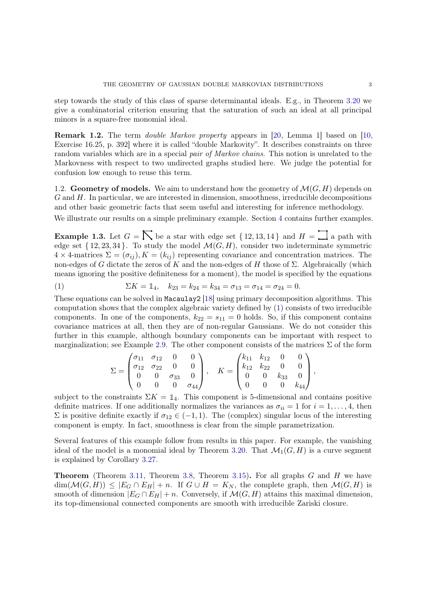step towards the study of this class of sparse determinantal ideals. E.g., in Theorem [3.20](#page-20-0) we give a combinatorial criterion ensuring that the saturation of such an ideal at all principal minors is a square-free monomial ideal.

Remark 1.2. The term *double Markov property* appears in [\[20,](#page-27-4) Lemma 1] based on [\[10,](#page-27-5) Exercise 16.25, p. 392] where it is called "double Markovity". It describes constraints on three random variables which are in a special pair of Markov chains. This notion is unrelated to the Markovness with respect to two undirected graphs studied here. We judge the potential for confusion low enough to reuse this term.

1.2. Geometry of models. We aim to understand how the geometry of  $\mathcal{M}(G, H)$  depends on  $G$  and  $H$ . In particular, we are interested in dimension, smoothness, irreducible decompositions and other basic geometric facts that seem useful and interesting for inference methodology.

<span id="page-2-1"></span>We illustrate our results on a simple preliminary example. Section [4](#page-25-0) contains further examples.

**Example 1.3.** Let  $G = \sum$  be a star with edge set  $\{12, 13, 14\}$  and  $H = \prod$  a path with edge set  $\{12, 23, 34\}$ . To study the model  $\mathcal{M}(G, H)$ , consider two indeterminate symmetric  $4 \times 4$ -matrices  $\Sigma = (\sigma_{ij}), K = (k_{ij})$  representing covariance and concentration matrices. The non-edges of G dictate the zeros of K and the non-edges of H those of Σ. Algebraically (which means ignoring the positive definiteness for a moment), the model is specified by the equations

<span id="page-2-0"></span>(1) 
$$
\Sigma K = \mathbb{1}_4
$$
,  $k_{23} = k_{24} = k_{34} = \sigma_{13} = \sigma_{14} = \sigma_{24} = 0$ .

These equations can be solved in Macaulay2 [\[18\]](#page-27-6) using primary decomposition algorithms. This computation shows that the complex algebraic variety defined by [\(1\)](#page-2-0) consists of two irreducible components. In one of the components,  $k_{22} = s_{11} = 0$  holds. So, if this component contains covariance matrices at all, then they are of non-regular Gaussians. We do not consider this further in this example, although boundary components can be important with respect to marginalization; see Example [2.9.](#page-8-0) The other component consists of the matrices  $\Sigma$  of the form

$$
\Sigma = \begin{pmatrix} \sigma_{11} & \sigma_{12} & 0 & 0 \\ \sigma_{12} & \sigma_{22} & 0 & 0 \\ 0 & 0 & \sigma_{33} & 0 \\ 0 & 0 & 0 & \sigma_{44} \end{pmatrix}, \quad K = \begin{pmatrix} k_{11} & k_{12} & 0 & 0 \\ k_{12} & k_{22} & 0 & 0 \\ 0 & 0 & k_{33} & 0 \\ 0 & 0 & 0 & k_{44} \end{pmatrix},
$$

subject to the constraints  $\Sigma K = \mathbb{1}_4$ . This component is 5-dimensional and contains positive definite matrices. If one additionally normalizes the variances as  $\sigma_{ii} = 1$  for  $i = 1, \ldots, 4$ , then  $\Sigma$  is positive definite exactly if  $\sigma_{12} \in (-1, 1)$ . The (complex) singular locus of the interesting component is empty. In fact, smoothness is clear from the simple parametrization.

Several features of this example follow from results in this paper. For example, the vanishing ideal of the model is a monomial ideal by Theorem [3.20.](#page-20-0) That  $\mathcal{M}_1(G, H)$  is a curve segment is explained by Corollary [3.27.](#page-23-0)

**Theorem** (Theorem [3.11,](#page-17-0) Theorem [3.8,](#page-16-0) Theorem [3.15\)](#page-18-0). For all graphs  $G$  and  $H$  we have  $\dim(\mathcal{M}(G,H)) \leq |E_G \cap E_H| + n$ . If  $G \cup H = K_N$ , the complete graph, then  $\mathcal{M}(G,H)$  is smooth of dimension  $|E_G \cap E_H| + n$ . Conversely, if  $\mathcal{M}(G, H)$  attains this maximal dimension, its top-dimensional connected components are smooth with irreducible Zariski closure.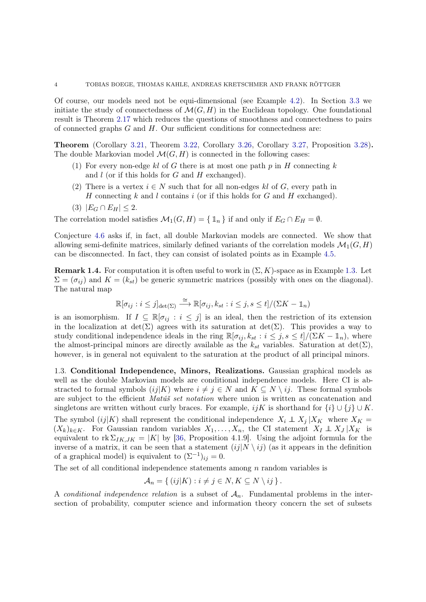Of course, our models need not be equi-dimensional (see Example [4.2\)](#page-25-1). In Section [3.3](#page-21-0) we initiate the study of connectedness of  $\mathcal{M}(G, H)$  in the Euclidean topology. One foundational result is Theorem [2.17](#page-12-0) which reduces the questions of smoothness and connectedness to pairs of connected graphs  $G$  and  $H$ . Our sufficient conditions for connectedness are:

Theorem (Corollary [3.21,](#page-21-1) Theorem [3.22,](#page-21-2) Corollary [3.26,](#page-23-1) Corollary [3.27,](#page-23-0) Proposition [3.28\)](#page-23-2). The double Markovian model  $\mathcal{M}(G, H)$  is connected in the following cases:

- (1) For every non-edge kl of G there is at most one path  $p$  in H connecting k and  $l$  (or if this holds for  $G$  and  $H$  exchanged).
- (2) There is a vertex  $i \in N$  such that for all non-edges kl of G, every path in H connecting k and l contains i (or if this holds for G and H exchanged).
- (3)  $|E_G \cap E_H| \leq 2$ .

The correlation model satisfies  $\mathcal{M}_1(G, H) = \{ \mathbb{1}_n \}$  if and only if  $E_G \cap E_H = \emptyset$ .

Conjecture [4.6](#page-26-0) asks if, in fact, all double Markovian models are connected. We show that allowing semi-definite matrices, similarly defined variants of the correlation models  $\mathcal{M}_1(G, H)$ can be disconnected. In fact, they can consist of isolated points as in Example [4.5.](#page-26-1)

**Remark 1.4.** For computation it is often useful to work in  $(\Sigma, K)$ -space as in Example [1.3.](#page-2-1) Let  $\Sigma = (\sigma_{ij})$  and  $K = (k_{st})$  be generic symmetric matrices (possibly with ones on the diagonal). The natural map

$$
\mathbb{R}[\sigma_{ij} : i \leq j]_{\det(\Sigma)} \stackrel{\cong}{\longrightarrow} \mathbb{R}[\sigma_{ij}, k_{st} : i \leq j, s \leq t]/(\Sigma K - \mathbb{1}_n)
$$

is an isomorphism. If  $I \subseteq \mathbb{R}[\sigma_{ij} : i \leq j]$  is an ideal, then the restriction of its extension in the localization at  $\det(\Sigma)$  agrees with its saturation at  $\det(\Sigma)$ . This provides a way to study conditional independence ideals in the ring  $\mathbb{R}[\sigma_{ij}, k_{st} : i \leq j, s \leq t]/(\Sigma K - \mathbb{1}_n)$ , where the almost-principal minors are directly available as the  $k_{st}$  variables. Saturation at  $\det(\Sigma)$ , however, is in general not equivalent to the saturation at the product of all principal minors.

1.3. Conditional Independence, Minors, Realizations. Gaussian graphical models as well as the double Markovian models are conditional independence models. Here CI is abstracted to formal symbols  $(ij|K)$  where  $i \neq j \in N$  and  $K \subseteq N \setminus ij$ . These formal symbols are subject to the efficient Matúš set notation where union is written as concatenation and singletons are written without curly braces. For example,  $ijK$  is shorthand for  $\{i\} \cup \{j\} \cup K$ . The symbol (ij|K) shall represent the conditional independence  $X_i \perp X_j | X_K$  where  $X_K =$  $(X_k)_{k\in K}$ . For Gaussian random variables  $X_1, \ldots, X_n$ , the CI statement  $X_I \perp\!\!\!\perp X_J | X_K$  is equivalent to rk  $\Sigma_{IK,JK} = |K|$  by [\[36,](#page-28-6) Proposition 4.1.9]. Using the adjoint formula for the inverse of a matrix, it can be seen that a statement  $(ij|N \setminus ij)$  (as it appears in the definition of a graphical model) is equivalent to  $(\Sigma^{-1})_{ij} = 0$ .

The set of all conditional independence statements among  $n$  random variables is

$$
\mathcal{A}_n = \{ (ij|K) : i \neq j \in N, K \subseteq N \setminus ij \}.
$$

A conditional independence relation is a subset of  $A_n$ . Fundamental problems in the intersection of probability, computer science and information theory concern the set of subsets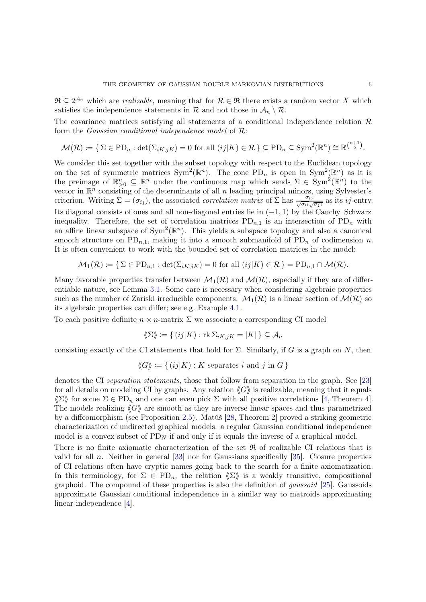$\mathfrak{R} \subseteq 2^{\mathcal{A}_n}$  which are *realizable*, meaning that for  $\mathcal{R} \in \mathfrak{R}$  there exists a random vector X which satisfies the independence statements in  $\mathcal R$  and not those in  $\mathcal A_n \setminus \mathcal R$ .

The covariance matrices satisfying all statements of a conditional independence relation  $\mathcal R$ form the *Gaussian conditional independence model* of  $\mathcal{R}$ :

$$
\mathcal{M}(\mathcal{R}) \coloneqq \{ \Sigma \in \mathrm{PD}_n : \det(\Sigma_{iK,jK}) = 0 \text{ for all } (ij|K) \in \mathcal{R} \} \subseteq \mathrm{PD}_n \subseteq \mathrm{Sym}^2(\mathbb{R}^n) \cong \mathbb{R}^{\binom{n+1}{2}}.
$$

We consider this set together with the subset topology with respect to the Euclidean topology on the set of symmetric matrices  $Sym^2(\mathbb{R}^n)$ . The cone PD<sub>n</sub> is open in  $Sym^2(\mathbb{R}^n)$  as it is the preimage of  $\mathbb{R}_{>0}^n \subseteq \mathbb{R}^n$  under the continuous map which sends  $\Sigma \in \text{Sym}^2(\mathbb{R}^n)$  to the vector in  $\mathbb{R}^n$  consisting of the determinants of all n leading principal minors, using Sylvester's criterion. Writing  $\Sigma = (\sigma_{ij})$ , the associated *correlation matrix* of  $\Sigma$  has  $\frac{\sigma_{ij}}{\sqrt{\sigma_{ii}}\sqrt{\sigma_{jj}}}$  as its *ij*-entry. Its diagonal consists of ones and all non-diagonal entries lie in  $(-1, 1)$  by the Cauchy–Schwarz inequality. Therefore, the set of correlation matrices  $PD_{n,1}$  is an intersection of  $PD_n$  with an affine linear subspace of  $Sym^2(\mathbb{R}^n)$ . This yields a subspace topology and also a canonical smooth structure on  $PD_{n,1}$ , making it into a smooth submanifold of  $PD_n$  of codimension n. It is often convenient to work with the bounded set of correlation matrices in the model:

$$
\mathcal{M}_1(\mathcal{R}) \coloneqq \{ \Sigma \in \text{PD}_{n,1} : \det(\Sigma_{iK,jK}) = 0 \text{ for all } (ij|K) \in \mathcal{R} \} = \text{PD}_{n,1} \cap \mathcal{M}(\mathcal{R}).
$$

Many favorable properties transfer between  $\mathcal{M}_1(\mathcal{R})$  and  $\mathcal{M}(\mathcal{R})$ , especially if they are of differentiable nature, see Lemma [3.1.](#page-13-0) Some care is necessary when considering algebraic properties such as the number of Zariski irreducible components.  $\mathcal{M}_1(\mathcal{R})$  is a linear section of  $\mathcal{M}(\mathcal{R})$  so its algebraic properties can differ; see e.g. Example [4.1.](#page-25-2)

To each positive definite  $n \times n$ -matrix  $\Sigma$  we associate a corresponding CI model

$$
\langle\!\langle \Sigma \rangle\!\rangle \coloneqq \{\,(ij|K) : \mathrm{rk}\,\Sigma_{iK,jK} = |K|\,\} \subseteq \mathcal{A}_n
$$

consisting exactly of the CI statements that hold for  $\Sigma$ . Similarly, if G is a graph on N, then

$$
\langle G \rangle := \{ (ij|K) : K \text{ separates } i \text{ and } j \text{ in } G \}
$$

denotes the CI separation statements, those that follow from separation in the graph. See [\[23\]](#page-28-5) for all details on modeling CI by graphs. Any relation  $\langle G \rangle$  is realizable, meaning that it equals  $\langle \Sigma \rangle$  for some  $\Sigma \in \mathrm{PD}_n$  and one can even pick  $\Sigma$  with all positive correlations [\[4,](#page-27-7) Theorem 4]. The models realizing  $\langle G \rangle$  are smooth as they are inverse linear spaces and thus parametrized by a diffeomorphism (see Proposition [2.5\)](#page-7-0). Matúš [\[28,](#page-28-7) Theorem 2] proved a striking geometric characterization of undirected graphical models: a regular Gaussian conditional independence model is a convex subset of  $PD_N$  if and only if it equals the inverse of a graphical model.

There is no finite axiomatic characterization of the set  $\Re$  of realizable CI relations that is valid for all n. Neither in general [\[33\]](#page-28-8) nor for Gaussians specifically [\[35\]](#page-28-9). Closure properties of CI relations often have cryptic names going back to the search for a finite axiomatization. In this terminology, for  $\Sigma \in \mathrm{PD}_n$ , the relation  $\langle \Sigma \rangle$  is a weakly transitive, compositional graphoid. The compound of these properties is also the definition of *qaussoid* [\[25\]](#page-28-10). Gaussoids approximate Gaussian conditional independence in a similar way to matroids approximating linear independence [\[4\]](#page-27-7).

n+1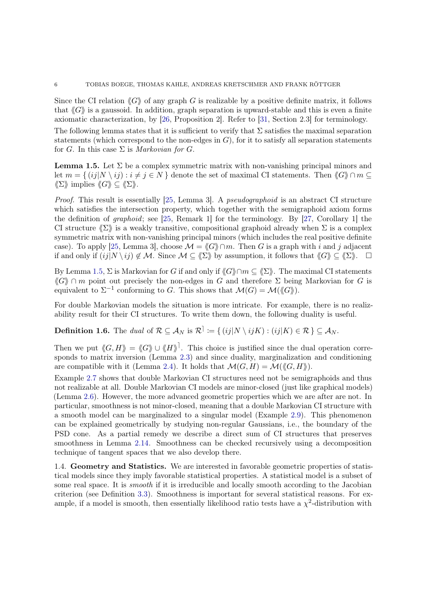Since the CI relation  $\langle G \rangle$  of any graph G is realizable by a positive definite matrix, it follows that  $\langle G \rangle$  is a gaussoid. In addition, graph separation is upward-stable and this is even a finite axiomatic characterization, by [\[26,](#page-28-11) Proposition 2]. Refer to [\[31,](#page-28-12) Section 2.3] for terminology.

The following lemma states that it is sufficient to verify that  $\Sigma$  satisfies the maximal separation statements (which correspond to the non-edges in  $G$ ), for it to satisfy all separation statements for G. In this case  $\Sigma$  is *Markovian for G.* 

<span id="page-5-0"></span>**Lemma 1.5.** Let  $\Sigma$  be a complex symmetric matrix with non-vanishing principal minors and let  $m = \{ (ij|N \setminus ij) : i \neq j \in N \}$  denote the set of maximal CI statements. Then  $\langle G \rangle \cap m \subseteq$  $\langle \langle \Sigma \rangle \rangle$  implies  $\langle \langle G \rangle \rangle \subset \langle \langle \Sigma \rangle \rangle$ .

Proof. This result is essentially [\[25,](#page-28-10) Lemma 3]. A *pseudographoid* is an abstract CI structure which satisfies the intersection property, which together with the semigraphoid axiom forms the definition of graphoid; see [\[25,](#page-28-10) Remark 1] for the terminology. By [\[27,](#page-28-13) Corollary 1] the CI structure  $\langle \Sigma \rangle$  is a weakly transitive, compositional graphoid already when  $\Sigma$  is a complex symmetric matrix with non-vanishing principal minors (which includes the real positive definite case). To apply [\[25,](#page-28-10) Lemma 3], choose  $\mathcal{M} = \langle G \rangle \cap m$ . Then G is a graph with i and j adjacent if and only if  $(ij|N \setminus ij) \notin \mathcal{M}$ . Since  $\mathcal{M} \subseteq \langle \langle \Sigma \rangle \rangle$  by assumption, it follows that  $\langle G \rangle \subseteq \langle \Sigma \rangle$ .  $\square$ 

By Lemma [1.5,](#page-5-0)  $\Sigma$  is Markovian for G if and only if  $\langle G \rangle \cap m \subset \langle \Sigma \rangle$ . The maximal CI statements  $\langle G \rangle \cap m$  point out precisely the non-edges in G and therefore  $\Sigma$  being Markovian for G is equivalent to  $\Sigma^{-1}$  conforming to G. This shows that  $\mathcal{M}(G) = \mathcal{M}(\langle\!\langle G \rangle\!\rangle).$ 

<span id="page-5-1"></span>For double Markovian models the situation is more intricate. For example, there is no realizability result for their CI structures. To write them down, the following duality is useful.

**Definition 1.6.** The dual of  $\mathcal{R} \subseteq \mathcal{A}_N$  is  $\mathcal{R}^{\dagger} := \{ (ij | N \setminus ijK) : (ij|K) \in \mathcal{R} \} \subseteq \mathcal{A}_N$ .

Then we put  $\langle G, H \rangle = \langle G \rangle \cup \langle H \rangle$ . This choice is justified since the dual operation corresponds to matrix inversion (Lemma [2.3\)](#page-6-0) and since duality, marginalization and conditioning are compatible with it (Lemma [2.4\)](#page-7-1). It holds that  $\mathcal{M}(G, H) = \mathcal{M}(\langle\!\langle G, H\rangle\!\rangle).$ 

Example [2.7](#page-8-1) shows that double Markovian CI structures need not be semigraphoids and thus not realizable at all. Double Markovian CI models are minor-closed (just like graphical models) (Lemma [2.6\)](#page-7-2). However, the more advanced geometric properties which we are after are not. In particular, smoothness is not minor-closed, meaning that a double Markovian CI structure with a smooth model can be marginalized to a singular model (Example [2.9\)](#page-8-0). This phenomenon can be explained geometrically by studying non-regular Gaussians, i.e., the boundary of the PSD cone. As a partial remedy we describe a direct sum of CI structures that preserves smoothness in Lemma [2.14.](#page-11-0) Smoothness can be checked recursively using a decomposition technique of tangent spaces that we also develop there.

1.4. Geometry and Statistics. We are interested in favorable geometric properties of statistical models since they imply favorable statistical properties. A statistical model is a subset of some real space. It is *smooth* if it is irreducible and locally smooth according to the Jacobian criterion (see Definition [3.3\)](#page-14-0). Smoothness is important for several statistical reasons. For example, if a model is smooth, then essentially likelihood ratio tests have a  $\chi^2$ -distribution with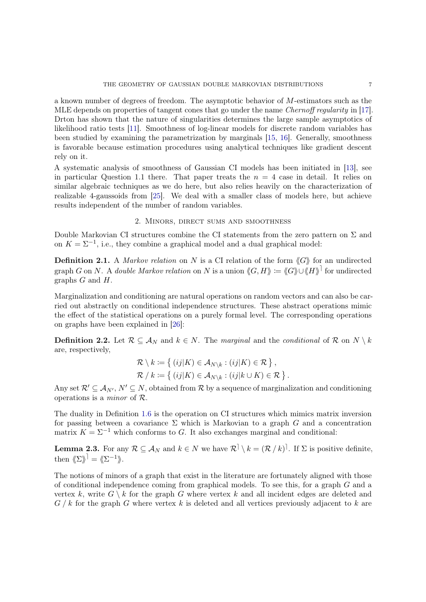a known number of degrees of freedom. The asymptotic behavior of M-estimators such as the MLE depends on properties of tangent cones that go under the name Chernoff regularity in [\[17\]](#page-27-8). Drton has shown that the nature of singularities determines the large sample asymptotics of likelihood ratio tests [\[11\]](#page-27-9). Smoothness of log-linear models for discrete random variables has been studied by examining the parametrization by marginals [\[15,](#page-27-10) [16\]](#page-27-11). Generally, smoothness is favorable because estimation procedures using analytical techniques like gradient descent rely on it.

A systematic analysis of smoothness of Gaussian CI models has been initiated in [\[13\]](#page-27-12), see in particular Question 1.1 there. That paper treats the  $n = 4$  case in detail. It relies on similar algebraic techniques as we do here, but also relies heavily on the characterization of realizable 4-gaussoids from [\[25\]](#page-28-10). We deal with a smaller class of models here, but achieve results independent of the number of random variables.

# 2. Minors, direct sums and smoothness

Double Markovian CI structures combine the CI statements from the zero pattern on  $\Sigma$  and on  $K = \Sigma^{-1}$ , i.e., they combine a graphical model and a dual graphical model:

**Definition 2.1.** A Markov relation on N is a CI relation of the form  $\langle G \rangle$  for an undirected graph G on N. A *double Markov relation* on N is a union  $\langle G, H \rangle := \langle G \rangle \cup \langle H \rangle$  for undirected graphs G and H.

Marginalization and conditioning are natural operations on random vectors and can also be carried out abstractly on conditional independence structures. These abstract operations mimic the effect of the statistical operations on a purely formal level. The corresponding operations on graphs have been explained in [\[26\]](#page-28-11):

**Definition 2.2.** Let  $\mathcal{R} \subseteq \mathcal{A}_N$  and  $k \in N$ . The marginal and the conditional of  $\mathcal{R}$  on  $N \setminus k$ are, respectively,

$$
\mathcal{R} \setminus k := \left\{ (ij|K) \in \mathcal{A}_{N \setminus k} : (ij|K) \in \mathcal{R} \right\},\
$$
  

$$
\mathcal{R} / k := \left\{ (ij|K) \in \mathcal{A}_{N \setminus k} : (ij|k \cup K) \in \mathcal{R} \right\}.
$$

Any set  $\mathcal{R}' \subseteq A_{N'}$ ,  $N' \subseteq N$ , obtained from  $\mathcal R$  by a sequence of marginalization and conditioning operations is a minor of R.

The duality in Definition [1.6](#page-5-1) is the operation on CI structures which mimics matrix inversion for passing between a covariance  $\Sigma$  which is Markovian to a graph G and a concentration matrix  $K = \Sigma^{-1}$  which conforms to G. It also exchanges marginal and conditional:

<span id="page-6-0"></span>**Lemma 2.3.** For any  $\mathcal{R} \subseteq \mathcal{A}_N$  and  $k \in N$  we have  $\mathcal{R} \setminus k = (\mathcal{R} \setminus k)$ . If  $\Sigma$  is positive definite, then  $\langle \Sigma \rangle^{\dagger} = \langle \! \langle \Sigma^{-1} \rangle \! \rangle$ .

The notions of minors of a graph that exist in the literature are fortunately aligned with those of conditional independence coming from graphical models. To see this, for a graph G and a vertex k, write  $G \setminus k$  for the graph G where vertex k and all incident edges are deleted and  $G / k$  for the graph G where vertex k is deleted and all vertices previously adjacent to k are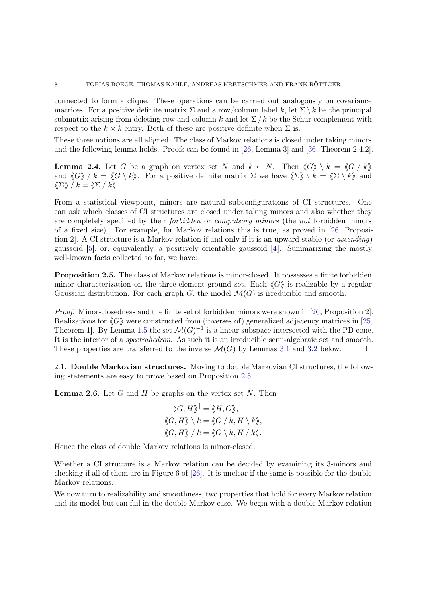connected to form a clique. These operations can be carried out analogously on covariance matrices. For a positive definite matrix  $\Sigma$  and a row/column label k, let  $\Sigma \setminus k$  be the principal submatrix arising from deleting row and column k and let  $\Sigma/k$  be the Schur complement with respect to the  $k \times k$  entry. Both of these are positive definite when  $\Sigma$  is.

<span id="page-7-1"></span>These three notions are all aligned. The class of Markov relations is closed under taking minors and the following lemma holds. Proofs can be found in [\[26,](#page-28-11) Lemma 3] and [\[36,](#page-28-6) Theorem 2.4.2].

**Lemma 2.4.** Let G be a graph on vertex set N and  $k \in N$ . Then  $\langle G \rangle \setminus k = \langle G / k \rangle$ and  $\langle G \rangle / k = \langle G \setminus k \rangle$ . For a positive definite matrix  $\Sigma$  we have  $\langle \Sigma \rangle \setminus k = \langle \Sigma \setminus k \rangle$  and  $\langle \! \langle \Sigma \rangle \! \rangle / k = \langle \! \langle \Sigma / k \rangle \! \rangle$ .

From a statistical viewpoint, minors are natural subconfigurations of CI structures. One can ask which classes of CI structures are closed under taking minors and also whether they are completely specified by their forbidden or compulsory minors (the not forbidden minors of a fixed size). For example, for Markov relations this is true, as proved in [\[26,](#page-28-11) Proposition 2]. A CI structure is a Markov relation if and only if it is an upward-stable (or ascending) gaussoid [\[5\]](#page-27-13), or, equivalently, a positively orientable gaussoid [\[4\]](#page-27-7). Summarizing the mostly well-known facts collected so far, we have:

<span id="page-7-0"></span>Proposition 2.5. The class of Markov relations is minor-closed. It possesses a finite forbidden minor characterization on the three-element ground set. Each  $\langle G \rangle$  is realizable by a regular Gaussian distribution. For each graph G, the model  $\mathcal{M}(G)$  is irreducible and smooth.

Proof. Minor-closedness and the finite set of forbidden minors were shown in [\[26,](#page-28-11) Proposition 2]. Realizations for  $\langle G \rangle$  were constructed from (inverses of) generalized adjacency matrices in [\[25,](#page-28-10) Theorem 1. By Lemma [1.5](#page-5-0) the set  $\mathcal{M}(G)^{-1}$  is a linear subspace intersected with the PD cone. It is the interior of a spectrahedron. As such it is an irreducible semi-algebraic set and smooth. These properties are transferred to the inverse  $\mathcal{M}(G)$  by Lemmas [3.1](#page-13-0) and [3.2](#page-13-1) below.

<span id="page-7-2"></span>2.1. Double Markovian structures. Moving to double Markovian CI structures, the following statements are easy to prove based on Proposition [2.5:](#page-7-0)

**Lemma 2.6.** Let G and H be graphs on the vertex set N. Then

$$
\langle\!\langle G, H \rangle\!\rangle^{\dagger} = \langle\!\langle H, G \rangle\!\rangle,
$$
  

$$
\langle\!\langle G, H \rangle\!\rangle \setminus k = \langle\!\langle G \rangle / k, H \setminus k \rangle\!\rangle,
$$
  

$$
\langle\!\langle G, H \rangle\!\rangle / k = \langle\!\langle G \rangle k, H \rangle k \rangle\!\rangle.
$$

Hence the class of double Markov relations is minor-closed.

Whether a CI structure is a Markov relation can be decided by examining its 3-minors and checking if all of them are in Figure 6 of [\[26\]](#page-28-11). It is unclear if the same is possible for the double Markov relations.

We now turn to realizability and smoothness, two properties that hold for every Markov relation and its model but can fail in the double Markov case. We begin with a double Markov relation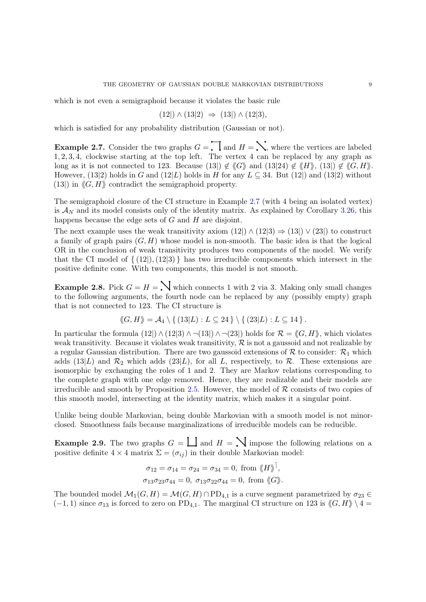which is not even a semigraphoid because it violates the basic rule

$$
(12|) \land (13|2) \Rightarrow (13|) \land (12|3),
$$

<span id="page-8-1"></span>which is satisfied for any probability distribution (Gaussian or not).

**Example 2.7.** Consider the two graphs  $G = \prod$  and  $H = \sum$ , where the vertices are labeled 1, 2, 3, 4, clockwise starting at the top left. The vertex 4 can be replaced by any graph as long as it is not connected to 123. Because (13)  $\notin \langle G \rangle$  and (13|24)  $\notin \langle H \rangle$ , (13|)  $\notin \langle G, H \rangle$ . However, (13|2) holds in G and (12|L) holds in H for any  $L \subseteq 34$ . But (12|) and (13|2) without (13) in  $\langle G, H \rangle$  contradict the semigraphoid property.

The semigraphoid closure of the CI structure in Example [2.7](#page-8-1) (with 4 being an isolated vertex) is  $\mathcal{A}_N$  and its model consists only of the identity matrix. As explained by Corollary [3.26,](#page-23-1) this happens because the edge sets of  $G$  and  $H$  are disjoint.

The next example uses the weak transitivity axiom  $(12) \wedge (12|3) \Rightarrow (13|) \vee (23|)$  to construct a family of graph pairs  $(G, H)$  whose model is non-smooth. The basic idea is that the logical OR in the conclusion of weak transitivity produces two components of the model. We verify that the CI model of  $\{(12), (12|3)\}\)$  has two irreducible components which intersect in the positive definite cone. With two components, this model is not smooth.

<span id="page-8-2"></span>**Example 2.8.** Pick  $G = H = \mathbb{N}$  which connects 1 with 2 via 3. Making only small changes to the following arguments, the fourth node can be replaced by any (possibly empty) graph that is not connected to 123. The CI structure is

$$
\langle G, H \rangle = \mathcal{A}_4 \setminus \{ (13|L) : L \subseteq 24 \} \setminus \{ (23|L) : L \subseteq 14 \}.
$$

In particular the formula (12|)  $\wedge$  (12|3)  $\wedge \neg$ (13|)  $\wedge \neg$ (23|) holds for  $\mathcal{R} = \langle G, H \rangle$ , which violates weak transitivity. Because it violates weak transitivity,  $\mathcal R$  is not a gaussoid and not realizable by a regular Gaussian distribution. There are two gaussoid extensions of  $R$  to consider:  $\mathcal{R}_1$  which adds (13|L) and  $\mathcal{R}_2$  which adds (23|L), for all L, respectively, to  $\mathcal{R}$ . These extensions are isomorphic by exchanging the roles of 1 and 2. They are Markov relations corresponding to the complete graph with one edge removed. Hence, they are realizable and their models are irreducible and smooth by Proposition [2.5.](#page-7-0) However, the model of  $\mathcal R$  consists of two copies of this smooth model, intersecting at the identity matrix, which makes it a singular point.

<span id="page-8-0"></span>Unlike being double Markovian, being double Markovian with a smooth model is not minorclosed. Smoothness fails because marginalizations of irreducible models can be reducible.

**Example 2.9.** The two graphs  $G = \bigsqcup$  and  $H = \bigsqcup$  impose the following relations on a positive definite  $4 \times 4$  matrix  $\Sigma = (\sigma_{ij})$  in their double Markovian model:

$$
\sigma_{12} = \sigma_{14} = \sigma_{24} = \sigma_{34} = 0, \text{ from } \langle H \rangle^{\dagger},
$$
  

$$
\sigma_{13}\sigma_{23}\sigma_{44} = 0, \sigma_{13}\sigma_{22}\sigma_{44} = 0, \text{ from } \langle G \rangle^{\dagger}.
$$

The bounded model  $\mathcal{M}_1(G, H) = \mathcal{M}(G, H) \cap \mathrm{PD}_{4,1}$  is a curve segment parametrized by  $\sigma_{23} \in$  $(-1, 1)$  since  $\sigma_{13}$  is forced to zero on PD<sub>4,1</sub>. The marginal CI structure on 123 is  $\langle G, H \rangle \setminus 4 =$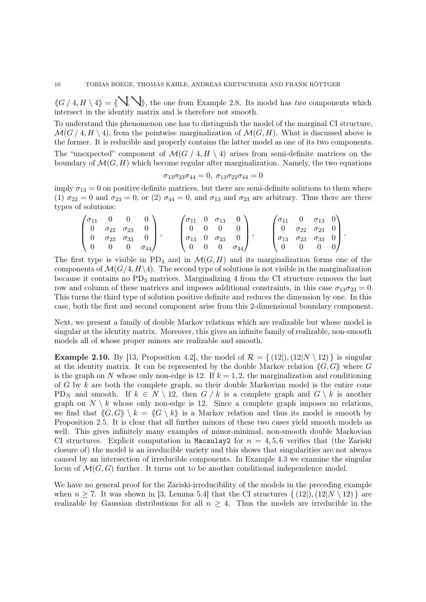$\langle G / 4, H \setminus 4 \rangle = \langle \mathcal{N}, \mathcal{N} \rangle$ , the one from Example [2.8.](#page-8-2) Its model has two components which intersect in the identity matrix and is therefore not smooth.

To understand this phenomenon one has to distinguish the model of the marginal CI structure,  $\mathcal{M}(G / 4, H \setminus 4)$ , from the pointwise marginalization of  $\mathcal{M}(G, H)$ . What is discussed above is the former. It is reducible and properly contains the latter model as one of its two components. The "unexpected" component of  $\mathcal{M}(G \mid 4, H \setminus 4)$  arises from semi-definite matrices on the boundary of  $\mathcal{M}(G, H)$  which become regular after marginalization. Namely, the two equations

$$
\sigma_{13}\sigma_{23}\sigma_{44} = 0, \ \sigma_{13}\sigma_{22}\sigma_{44} = 0
$$

imply  $\sigma_{13} = 0$  on positive definite matrices, but there are semi-definite solutions to them where (1)  $\sigma_{22} = 0$  and  $\sigma_{23} = 0$ , or (2)  $\sigma_{44} = 0$ , and  $\sigma_{13}$  and  $\sigma_{23}$  are arbitrary. Thus there are three types of solutions:

$$
\begin{pmatrix}\n\sigma_{11} & 0 & 0 & 0 \\
0 & \sigma_{22} & \sigma_{23} & 0 \\
0 & \sigma_{23} & \sigma_{33} & 0 \\
0 & 0 & 0 & \sigma_{44}\n\end{pmatrix}, \n\qquad\n\begin{pmatrix}\n\sigma_{11} & 0 & \sigma_{13} & 0 \\
0 & 0 & 0 & 0 \\
\sigma_{13} & 0 & \sigma_{33} & 0 \\
0 & 0 & 0 & \sigma_{44}\n\end{pmatrix}, \n\qquad\n\begin{pmatrix}\n\sigma_{11} & 0 & \sigma_{13} & 0 \\
0 & \sigma_{22} & \sigma_{23} & 0 \\
\sigma_{13} & \sigma_{23} & \sigma_{33} & 0 \\
0 & 0 & 0 & 0\n\end{pmatrix}.
$$

The first type is visible in PD<sub>4</sub> and in  $\mathcal{M}(G, H)$  and its marginalization forms one of the components of  $\mathcal{M}(G/4, H\backslash 4)$ . The second type of solutions is not visible in the marginalization because it contains no  $PD_3$  matrices. Marginalizing 4 from the CI structure removes the last row and column of these matrices and imposes additional constraints, in this case  $\sigma_{13}\sigma_{23} = 0$ . This turns the third type of solution positive definite and reduces the dimension by one. In this case, both the first and second component arise from this 2-dimensional boundary component.

Next, we present a family of double Markov relations which are realizable but whose model is singular at the identity matrix. Moreover, this gives an infinite family of realizable, non-smooth models all of whose proper minors are realizable and smooth.

<span id="page-9-0"></span>**Example 2.10.** By [\[13,](#page-27-12) Proposition 4.2], the model of  $\mathcal{R} = \{ (12|), (12|N \setminus 12) \}$  is singular at the identity matrix. It can be represented by the double Markov relation  $\langle G, G \rangle$  where G is the graph on N whose only non-edge is 12. If  $k = 1, 2$ , the marginalization and conditioning of G by  $k$  are both the complete graph, so their double Markovian model is the entire cone PD<sub>N</sub> and smooth. If  $k \in N \setminus \{12\}$ , then  $G / k$  is a complete graph and  $G \setminus k$  is another graph on  $N \setminus k$  whose only non-edge is 12. Since a complete graph imposes no relations, we find that  $\langle G, G \rangle \setminus k = \langle G \setminus k \rangle$  is a Markov relation and thus its model is smooth by Proposition [2.5.](#page-7-0) It is clear that all further minors of these two cases yield smooth models as well. This gives infinitely many examples of minor-minimal, non-smooth double Markovian CI structures. Explicit computation in Macaulay2 for  $n = 4, 5, 6$  verifies that (the Zariski closure of) the model is an irreducible variety and this shows that singularities are not always caused by an intersection of irreducible components. In Example [4.3](#page-25-3) we examine the singular locus of  $\mathcal{M}(G, G)$  further. It turns out to be another conditional independence model.

We have no general proof for the Zariski-irreducibility of the models in the preceding example when  $n \ge 7$ . It was shown in [\[3,](#page-27-14) Lemma 5.4] that the CI structures  $\{(12), (12|N \setminus 12)\}\$ are realizable by Gaussian distributions for all  $n \geq 4$ . Thus the models are irreducible in the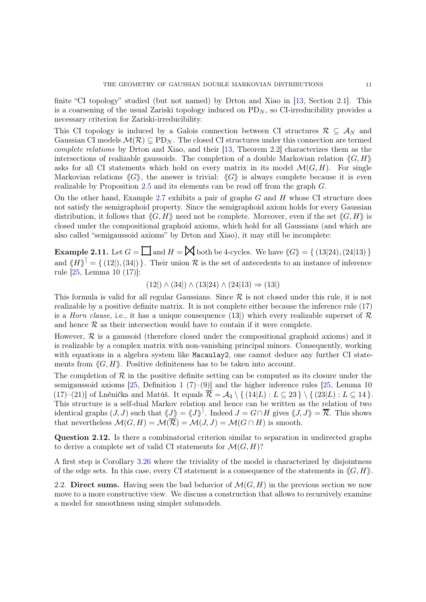finite "CI topology" studied (but not named) by Drton and Xiao in [\[13,](#page-27-12) Section 2.1]. This is a coarsening of the usual Zariski topology induced on  $PD_N$ , so CI-irreducibility provides a necessary criterion for Zariski-irreducibility.

This CI topology is induced by a Galois connection between CI structures  $\mathcal{R} \subseteq \mathcal{A}_N$  and Gaussian CI models  $\mathcal{M}(\mathcal{R}) \subseteq PD_N$ . The closed CI structures under this connection are termed complete relations by Drton and Xiao, and their [\[13,](#page-27-12) Theorem 2.2] characterizes them as the intersections of realizable gaussoids. The completion of a double Markovian relation  $\langle G, H \rangle$ asks for all CI statements which hold on every matrix in its model  $\mathcal{M}(G, H)$ . For single Markovian relations  $\langle G \rangle$ , the answer is trivial:  $\langle G \rangle$  is always complete because it is even realizable by Proposition [2.5](#page-7-0) and its elements can be read off from the graph G.

On the other hand, Example [2.7](#page-8-1) exhibits a pair of graphs  $G$  and  $H$  whose CI structure does not satisfy the semigraphoid property. Since the semigraphoid axiom holds for every Gaussian distribution, it follows that  $\langle G, H \rangle$  need not be complete. Moreover, even if the set  $\langle G, H \rangle$  is closed under the compositional graphoid axioms, which hold for all Gaussians (and which are also called "semigaussoid axioms" by Drton and Xiao), it may still be incomplete:

**Example 2.11.** Let  $G = \prod$  and  $H = \bigtimes$  both be 4-cycles. We have  $\langle G \rangle = \{ (13|24), (24|13) \}$ and  $\langle H \rangle$ <sup>1</sup> = { (12|), (34|) }. Their union R is the set of antecedents to an instance of inference rule [\[25,](#page-28-10) Lemma 10 (17)]:

 $(12|) \wedge (34|) \wedge (13|24) \wedge (24|13) \Rightarrow (13|)$ 

This formula is valid for all regular Gaussians. Since  $R$  is not closed under this rule, it is not realizable by a positive definite matrix. It is not complete either because the inference rule (17) is a *Horn clause*, i.e., it has a unique consequence (13) which every realizable superset of  $\mathcal{R}$ and hence  $\mathcal R$  as their intersection would have to contain if it were complete.

However,  $\mathcal R$  is a gaussoid (therefore closed under the compositional graphoid axioms) and it is realizable by a complex matrix with non-vanishing principal minors. Consequently, working with equations in a algebra system like Macaulay2, one cannot deduce any further CI statements from  $\langle G, H \rangle$ . Positive definiteness has to be taken into account.

The completion of  $\mathcal R$  in the positive definite setting can be computed as its closure under the semigaussoid axioms [\[25,](#page-28-10) Definition 1  $(7)-(9)$ ] and the higher inference rules [25, Lemma 10 (17)–(21)] of Lněnička and Matúš. It equals  $\overline{\mathcal{R}} = \mathcal{A}_4 \setminus \{ (14|L) : L \subseteq 23 \} \setminus \{ (23|L) : L \subseteq 14 \}.$ This structure is a self-dual Markov relation and hence can be written as the relation of two identical graphs  $(J, J)$  such that  $\langle J \rangle = \langle J \rangle$ <sup>1</sup>. Indeed  $J = G \cap H$  gives  $\langle J, J \rangle = \mathcal{R}$ . This shows that nevertheless  $\mathcal{M}(G, H) = \mathcal{M}(\mathcal{R}) = \mathcal{M}(J, J) = \mathcal{M}(G \cap H)$  is smooth.

Question 2.12. Is there a combinatorial criterion similar to separation in undirected graphs to derive a complete set of valid CI statements for  $\mathcal{M}(G, H)$ ?

A first step is Corollary [3.26](#page-23-1) where the triviality of the model is characterized by disjointness of the edge sets. In this case, every CI statement is a consequence of the statements in  $\langle G, H \rangle$ .

2.2. Direct sums. Having seen the bad behavior of  $\mathcal{M}(G, H)$  in the previous section we now move to a more constructive view. We discuss a construction that allows to recursively examine a model for smoothness using simpler submodels.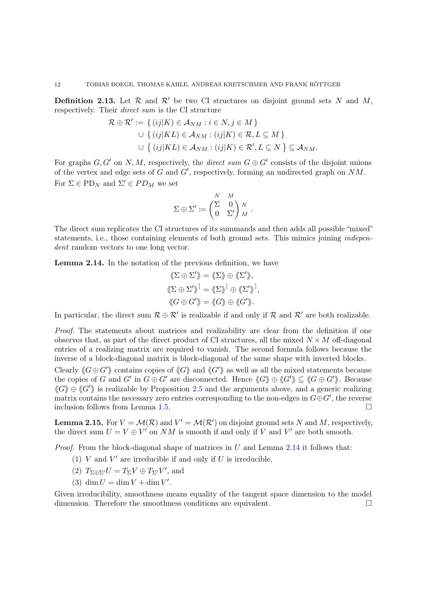**Definition 2.13.** Let  $\mathcal{R}$  and  $\mathcal{R}'$  be two CI structures on disjoint ground sets N and M, respectively. Their direct sum is the CI structure

$$
\mathcal{R} \oplus \mathcal{R}' := \{ (ij|K) \in \mathcal{A}_{NM} : i \in N, j \in M \}
$$
  

$$
\cup \{ (ij|KL) \in \mathcal{A}_{NM} : (ij|K) \in \mathcal{R}, L \subseteq M \}
$$
  

$$
\cup \{ (ij|KL) \in \mathcal{A}_{NM} : (ij|K) \in \mathcal{R}', L \subseteq N \} \subseteq \mathcal{A}_{NM}.
$$

For graphs  $G, G'$  on N, M, respectively, the *direct sum*  $G \oplus G'$  consists of the disjoint unions of the vertex and edge sets of  $G$  and  $G'$ , respectively, forming an undirected graph on  $NM$ . For  $\Sigma \in \mathrm{PD}_N$  and  $\Sigma' \in PD_M$  we set

$$
\Sigma \oplus \Sigma' \coloneqq \begin{pmatrix} N & M \\ \Sigma & 0 \\ 0 & \Sigma' \end{pmatrix} \begin{matrix} N \\ M \end{matrix}.
$$

The direct sum replicates the CI structures of its summands and then adds all possible "mixed" statements, i.e., those containing elements of both ground sets. This mimics joining *indepen*dent random vectors to one long vector.

<span id="page-11-0"></span>Lemma 2.14. In the notation of the previous definition, we have

$$
\langle \langle \Sigma \oplus \Sigma' \rangle \rangle = \langle \langle \Sigma \rangle \rangle \oplus \langle \langle \Sigma' \rangle \rangle, \langle \langle \Sigma \oplus \Sigma' \rangle \rangle^{\dagger} = \langle \langle \Sigma \rangle \rangle^{\dagger} \oplus \langle \langle \Sigma' \rangle \rangle^{\dagger}, \langle \langle G \oplus G' \rangle \rangle = \langle \langle G \rangle \rangle \oplus \langle \langle G' \rangle \rangle.
$$

In particular, the direct sum  $\mathcal{R} \oplus \mathcal{R}'$  is realizable if and only if  $\mathcal{R}$  and  $\mathcal{R}'$  are both realizable.

Proof. The statements about matrices and realizability are clear from the definition if one observes that, as part of the direct product of CI structures, all the mixed  $N \times M$  off-diagonal entries of a realizing matrix are required to vanish. The second formula follows because the inverse of a block-diagonal matrix is block-diagonal of the same shape with inverted blocks.

Clearly  $\langle G \oplus G' \rangle$  contains copies of  $\langle G \rangle$  and  $\langle G' \rangle$  as well as all the mixed statements because the copies of G and G' in  $G \oplus G'$  are disconnected. Hence  $\langle G \rangle \rangle \oplus \langle G' \rangle \subseteq \langle G \oplus G' \rangle$ . Because  $\langle G \rangle \oplus \langle G' \rangle$  is realizable by Proposition [2.5](#page-7-0) and the arguments above, and a generic realizing matrix contains the necessary zero entries corresponding to the non-edges in  $G \oplus G'$ , the reverse inclusion follows from Lemma [1.5.](#page-5-0)

<span id="page-11-1"></span>**Lemma 2.15.** For  $V = \mathcal{M}(\mathcal{R})$  and  $V' = \mathcal{M}(\mathcal{R}')$  on disjoint ground sets N and M, respectively, the direct sum  $U = V \oplus V'$  on NM is smooth if and only if V and V' are both smooth.

*Proof.* From the block-diagonal shape of matrices in  $U$  and Lemma [2.14](#page-11-0) it follows that:

- (1) V and  $V'$  are irreducible if and only if U is irreducible,
- (2)  $T_{\Sigma \oplus \Sigma'} U = T_{\Sigma} V \oplus T_{\Sigma'} V'$ , and
- (3)  $\dim U = \dim V + \dim V'$ .

Given irreducibility, smoothness means equality of the tangent space dimension to the model dimension. Therefore the smoothness conditions are equivalent.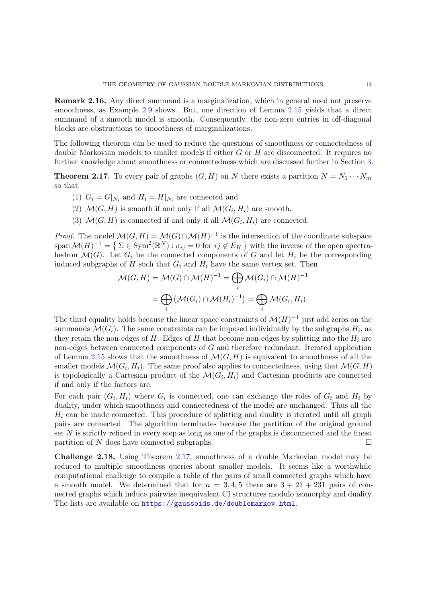Remark 2.16. Any direct summand is a marginalization, which in general need not preserve smoothness, as Example [2.9](#page-8-0) shows. But, one direction of Lemma [2.15](#page-11-1) yields that a direct summand of a smooth model is smooth. Consequently, the non-zero entries in off-diagonal blocks are obstructions to smoothness of marginalizations.

The following theorem can be used to reduce the questions of smoothness or connectedness of double Markovian models to smaller models if either G or H are disconnected. It requires no further knowledge about smoothness or connectedness which are discussed further in Section [3.](#page-13-2)

<span id="page-12-0"></span>**Theorem 2.17.** To every pair of graphs  $(G, H)$  on N there exists a partition  $N = N_1 \cdots N_m$ so that

- (1)  $G_i = G|_{N_i}$  and  $H_i = H|_{N_i}$  are connected and
- (2)  $\mathcal{M}(G,H)$  is smooth if and only if all  $\mathcal{M}(G_i,H_i)$  are smooth.
- (3)  $\mathcal{M}(G,H)$  is connected if and only if all  $\mathcal{M}(G_i,H_i)$  are connected.

*Proof.* The model  $\mathcal{M}(G,H) = \mathcal{M}(G) \cap \mathcal{M}(H)^{-1}$  is the intersection of the coordinate subspace span  $\mathcal{M}(H)^{-1} = \{ \Sigma \in \text{Sym}^2(\mathbb{R}^N) : \sigma_{ij} = 0 \text{ for } ij \notin E_H \}$  with the inverse of the open spectrahedron  $\mathcal{M}(G)$ . Let  $G_i$  be the connected components of G and let  $H_i$  be the corresponding induced subgraphs of H such that  $G_i$  and  $H_i$  have the same vertex set. Then

$$
\mathcal{M}(G, H) = \mathcal{M}(G) \cap \mathcal{M}(H)^{-1} = \bigoplus_{i} \mathcal{M}(G_i) \cap \mathcal{M}(H)^{-1}
$$

$$
= \bigoplus_{i} \left( \mathcal{M}(G_i) \cap \mathcal{M}(H_i)^{-1} \right) = \bigoplus_{i} \mathcal{M}(G_i, H_i).
$$

The third equality holds because the linear space constraints of  $\mathcal{M}(H)^{-1}$  just add zeros on the summands  $\mathcal{M}(G_i)$ . The same constraints can be imposed individually by the subgraphs  $H_i$ , as they retain the non-edges of H. Edges of H that become non-edges by splitting into the  $H_i$  are non-edges between connected components of G and therefore redundant. Iterated application of Lemma [2.15](#page-11-1) shows that the smoothness of  $\mathcal{M}(G, H)$  is equivalent to smoothness of all the smaller models  $\mathcal{M}(G_i,H_i)$ . The same proof also applies to connectedness, using that  $\mathcal{M}(G,H)$ is topologically a Cartesian product of the  $\mathcal{M}(G_i, H_i)$  and Cartesian products are connected if and only if the factors are.

For each pair  $(G_i, H_i)$  where  $G_i$  is connected, one can exchange the roles of  $G_i$  and  $H_i$  by duality, under which smoothness and connectedness of the model are unchanged. Thus all the  $H_i$  can be made connected. This procedure of splitting and duality is iterated until all graph pairs are connected. The algorithm terminates because the partition of the original ground set  $N$  is strictly refined in every step as long as one of the graphs is disconnected and the finest partition of N does have connected subgraphs.  $\square$ 

Challenge 2.18. Using Theorem [2.17,](#page-12-0) smoothness of a double Markovian model may be reduced to multiple smoothness queries about smaller models. It seems like a worthwhile computational challenge to compile a table of the pairs of small connected graphs which have a smooth model. We determined that for  $n = 3, 4, 5$  there are  $3 + 21 + 231$  pairs of connected graphs which induce pairwise inequivalent CI structures modulo isomorphy and duality. The lists are available on <https://gaussoids.de/doublemarkov.html>.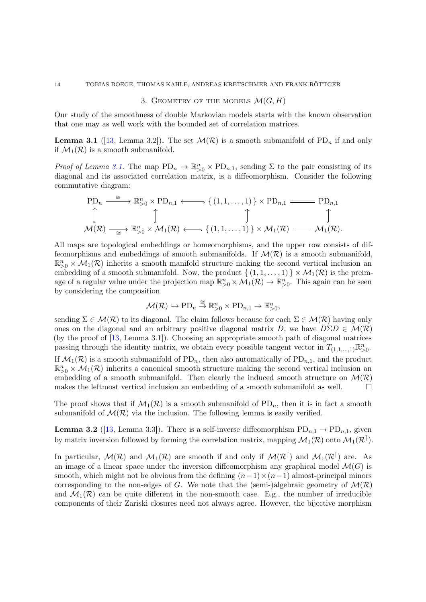3. GEOMETRY OF THE MODELS  $\mathcal{M}(G,H)$ 

<span id="page-13-2"></span><span id="page-13-0"></span>Our study of the smoothness of double Markovian models starts with the known observation that one may as well work with the bounded set of correlation matrices.

**Lemma 3.1** ([\[13,](#page-27-12) Lemma 3.2]). The set  $\mathcal{M}(\mathcal{R})$  is a smooth submanifold of PD<sub>n</sub> if and only if  $\mathcal{M}_1(\mathcal{R})$  is a smooth submanifold.

Proof of Lemma [3.1.](#page-13-0) The map  $PD_n \to \mathbb{R}^n_{>0} \times PD_{n,1}$ , sending  $\Sigma$  to the pair consisting of its diagonal and its associated correlation matrix, is a diffeomorphism. Consider the following commutative diagram:

$$
\text{PD}_n \xrightarrow{\cong} \mathbb{R}^n_{>0} \times \text{PD}_{n,1} \longleftarrow \{ (1,1,\ldots,1) \} \times \text{PD}_{n,1} \xrightarrow{\cong} \text{PD}_{n,1} \uparrow \qquad \qquad \uparrow
$$
  

$$
\text{M}(\mathcal{R}) \xrightarrow{\cong} \mathbb{R}^n_{>0} \times \mathcal{M}_1(\mathcal{R}) \longleftarrow \{ (1,1,\ldots,1) \} \times \mathcal{M}_1(\mathcal{R}) \xrightarrow{\cong} \mathcal{M}_1(\mathcal{R}).
$$

All maps are topological embeddings or homeomorphisms, and the upper row consists of diffeomorphisms and embeddings of smooth submanifolds. If  $\mathcal{M}(\mathcal{R})$  is a smooth submanifold,  $\mathbb{R}_{>0}^n \times \mathcal{M}_1(\mathcal{R})$  inherits a smooth manifold structure making the second vertical inclusion and embedding of a smooth submanifold. Now, the product  $\{(1,1,\ldots,1)\}\times \mathcal{M}_1(\mathcal{R})$  is the preimage of a regular value under the projection map  $\mathbb{R}^n_{>0} \times \mathcal{M}_1(\mathcal{R}) \to \mathbb{R}^n_{>0}$ . This again can be seen by considering the composition

$$
\mathcal{M}(\mathcal{R}) \hookrightarrow \mathrm{PD}_n \overset{\cong}{\to} \mathbb{R}^n_{>0} \times \mathrm{PD}_{n,1} \to \mathbb{R}^n_{>0},
$$

sending  $\Sigma \in \mathcal{M}(\mathcal{R})$  to its diagonal. The claim follows because for each  $\Sigma \in \mathcal{M}(\mathcal{R})$  having only ones on the diagonal and an arbitrary positive diagonal matrix D, we have  $D\Sigma D \in \mathcal{M}(\mathcal{R})$ (by the proof of [\[13,](#page-27-12) Lemma 3.1]). Choosing an appropriate smooth path of diagonal matrices passing through the identity matrix, we obtain every possible tangent vector in  $T_{(1,1,\ldots,1)}\mathbb{R}^n_{>0}$ . If  $\mathcal{M}_1(\mathcal{R})$  is a smooth submanifold of PD<sub>n</sub>, then also automatically of PD<sub>n,1</sub>, and the product  $\mathbb{R}_{>0}^n \times \mathcal{M}_1(\mathcal{R})$  inherits a canonical smooth structure making the second vertical inclusion and embedding of a smooth submanifold. Then clearly the induced smooth structure on  $\mathcal{M}(\mathcal{R})$ makes the leftmost vertical inclusion an embedding of a smooth submanifold as well.  $\Box$ 

<span id="page-13-1"></span>The proof shows that if  $\mathcal{M}_1(\mathcal{R})$  is a smooth submanifold of PD<sub>n</sub>, then it is in fact a smooth submanifold of  $\mathcal{M}(\mathcal{R})$  via the inclusion. The following lemma is easily verified.

**Lemma 3.2** ([\[13,](#page-27-12) Lemma 3.3]). There is a self-inverse diffeomorphism  $PD_{n,1} \to PD_{n,1}$ , given by matrix inversion followed by forming the correlation matrix, mapping  $\mathcal{M}_1(\mathcal{R})$  onto  $\mathcal{M}_1(\mathcal{R}^+)$ .

In particular,  $\mathcal{M}(\mathcal{R})$  and  $\mathcal{M}_1(\mathcal{R})$  are smooth if and only if  $\mathcal{M}(\mathcal{R}^{\dagger})$  and  $\mathcal{M}_1(\mathcal{R}^{\dagger})$  are. As an image of a linear space under the inversion diffeomorphism any graphical model  $\mathcal{M}(G)$  is smooth, which might not be obvious from the defining  $(n-1)\times(n-1)$  almost-principal minors corresponding to the non-edges of G. We note that the (semi-)algebraic geometry of  $\mathcal{M}(\mathcal{R})$ and  $\mathcal{M}_1(\mathcal{R})$  can be quite different in the non-smooth case. E.g., the number of irreducible components of their Zariski closures need not always agree. However, the bijective morphism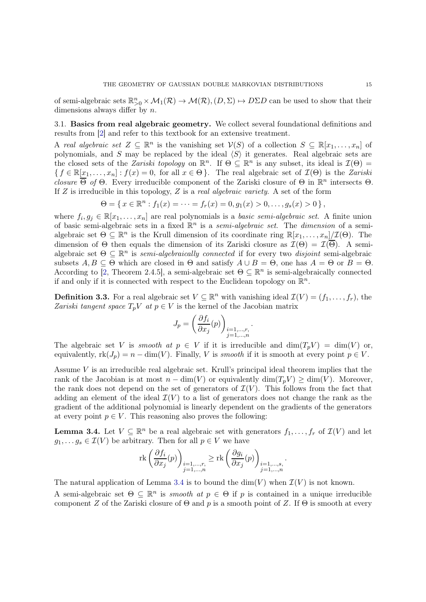of semi-algebraic sets  $\mathbb{R}^n_{>0} \times \mathcal{M}_1(\mathcal{R}) \to \mathcal{M}(\mathcal{R}), (D, \Sigma) \mapsto D\Sigma D$  can be used to show that their dimensions always differ by n.

3.1. Basics from real algebraic geometry. We collect several foundational definitions and results from [\[2\]](#page-27-15) and refer to this textbook for an extensive treatment.

A real algebraic set  $Z \subseteq \mathbb{R}^n$  is the vanishing set  $\mathcal{V}(S)$  of a collection  $S \subseteq \mathbb{R}[x_1,\ldots,x_n]$  of polynomials, and S may be replaced by the ideal  $\langle S \rangle$  it generates. Real algebraic sets are the closed sets of the *Zariski topology* on  $\mathbb{R}^n$ . If  $\Theta \subseteq \mathbb{R}^n$  is any subset, its ideal is  $\mathcal{I}(\Theta)$  =  ${f \in \mathbb{R}[x_1,\ldots,x_n]: f(x) = 0, \text{ for all } x \in \Theta}.$  The real algebraic set of  $\mathcal{I}(\Theta)$  is the Zariski closure  $\overline{\Theta}$  of  $\Theta$ . Every irreducible component of the Zariski closure of  $\Theta$  in  $\mathbb{R}^n$  intersects  $\Theta$ . If  $Z$  is irreducible in this topology,  $Z$  is a *real algebraic variety*. A set of the form

$$
\Theta = \{ x \in \mathbb{R}^n : f_1(x) = \cdots = f_r(x) = 0, g_1(x) > 0, \ldots, g_s(x) > 0 \},
$$

where  $f_i, g_j \in \mathbb{R}[x_1, \ldots, x_n]$  are real polynomials is a *basic semi-algebraic set*. A finite union of basic semi-algebraic sets in a fixed  $\mathbb{R}^n$  is a *semi-algebraic set*. The *dimension* of a semialgebraic set  $\Theta \subseteq \mathbb{R}^n$  is the Krull dimension of its coordinate ring  $\mathbb{R}[x_1,\ldots,x_n]/\mathcal{I}(\Theta)$ . The dimension of  $\Theta$  then equals the dimension of its Zariski closure as  $\mathcal{I}(\Theta) = \mathcal{I}(\overline{\Theta})$ . A semialgebraic set  $\Theta \subseteq \mathbb{R}^n$  is semi-algebraically connected if for every two disjoint semi-algebraic subsets  $A, B \subseteq \Theta$  which are closed in  $\Theta$  and satisfy  $A \cup B = \Theta$ , one has  $A = \Theta$  or  $B = \Theta$ . According to [\[2,](#page-27-15) Theorem 2.4.5], a semi-algebraic set  $\Theta \subseteq \mathbb{R}^n$  is semi-algebraically connected if and only if it is connected with respect to the Euclidean topology on  $\mathbb{R}^n$ .

<span id="page-14-0"></span>**Definition 3.3.** For a real algebraic set  $V \subseteq \mathbb{R}^n$  with vanishing ideal  $\mathcal{I}(V) = (f_1, \ldots, f_r)$ , the Zariski tangent space  $T_pV$  at  $p \in V$  is the kernel of the Jacobian matrix

$$
J_p = \left(\frac{\partial f_i}{\partial x_j}(p)\right)_{\substack{i=1,\ldots,r,\\j=1,\ldots,n}}.
$$

The algebraic set V is smooth at  $p \in V$  if it is irreducible and  $\dim(T_pV) = \dim(V)$  or, equivalently,  $rk(J_p) = n - \dim(V)$ . Finally, V is *smooth* if it is smooth at every point  $p \in V$ .

Assume V is an irreducible real algebraic set. Krull's principal ideal theorem implies that the rank of the Jacobian is at most  $n - \dim(V)$  or equivalently  $\dim(T_n V) \geq \dim(V)$ . Moreover, the rank does not depend on the set of generators of  $\mathcal{I}(V)$ . This follows from the fact that adding an element of the ideal  $\mathcal{I}(V)$  to a list of generators does not change the rank as the gradient of the additional polynomial is linearly dependent on the gradients of the generators at every point  $p \in V$ . This reasoning also proves the following:

<span id="page-14-1"></span>**Lemma 3.4.** Let  $V \subseteq \mathbb{R}^n$  be a real algebraic set with generators  $f_1, \ldots, f_r$  of  $\mathcal{I}(V)$  and let  $g_1, \ldots g_s \in \mathcal{I}(V)$  be arbitrary. Then for all  $p \in V$  we have

$$
\operatorname{rk}\left(\frac{\partial f_i}{\partial x_j}(p)\right)_{\substack{i=1,...,r,\\j=1,...,n}}\geq \operatorname{rk}\left(\frac{\partial g_i}{\partial x_j}(p)\right)_{\substack{i=1,...,s,\\j=1,...,n}}.
$$

The natural application of Lemma [3.4](#page-14-1) is to bound the  $\dim(V)$  when  $\mathcal{I}(V)$  is not known.

A semi-algebraic set  $\Theta \subseteq \mathbb{R}^n$  is smooth at  $p \in \Theta$  if p is contained in a unique irreducible component Z of the Zariski closure of  $\Theta$  and p is a smooth point of Z. If  $\Theta$  is smooth at every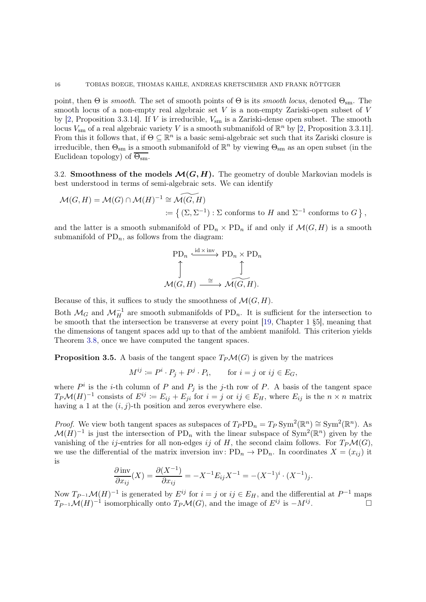point, then  $\Theta$  is *smooth*. The set of smooth points of  $\Theta$  is its *smooth locus*, denoted  $\Theta_{\rm sm}$ . The smooth locus of a non-empty real algebraic set  $V$  is a non-empty Zariski-open subset of  $V$ by  $[2,$  Proposition 3.3.14]. If V is irreducible,  $V_{\rm sm}$  is a Zariski-dense open subset. The smooth locus  $V_{\text{sm}}$  of a real algebraic variety V is a smooth submanifold of  $\mathbb{R}^n$  by [\[2,](#page-27-15) Proposition 3.3.11]. From this it follows that, if  $\Theta \subseteq \mathbb{R}^n$  is a basic semi-algebraic set such that its Zariski closure is irreducible, then  $\Theta_{\rm sm}$  is a smooth submanifold of  $\mathbb{R}^n$  by viewing  $\Theta_{\rm sm}$  as an open subset (in the Euclidean topology) of  $\overline{\Theta_{\rm sm}}$ .

3.2. Smoothness of the models  $\mathcal{M}(G, H)$ . The geometry of double Markovian models is best understood in terms of semi-algebraic sets. We can identify

$$
\mathcal{M}(G,H) = \mathcal{M}(G) \cap \mathcal{M}(H)^{-1} \cong \widetilde{\mathcal{M}(G,H)}
$$
  
 := { (\Sigma, \Sigma^{-1}) : \Sigma \text{ conforms to } H \text{ and } \Sigma^{-1} \text{ conforms to } G },

and the latter is a smooth submanifold of  $PD_n \times PD_n$  if and only if  $\mathcal{M}(G, H)$  is a smooth submanifold of  $PD_n$ , as follows from the diagram:

$$
\text{PD}_n \xrightarrow{\text{id} \times \text{inv}} \text{PD}_n \times \text{PD}_n
$$

$$
\uparrow \qquad \qquad \uparrow
$$

$$
\mathcal{M}(G, H) \xrightarrow{\cong} \mathcal{M}(G, H).
$$

Because of this, it suffices to study the smoothness of  $\mathcal{M}(G, H)$ .

Both  $\mathcal{M}_G$  and  $\mathcal{M}_H^{-1}$  are smooth submanifolds of PD<sub>n</sub>. It is sufficient for the intersection to be smooth that the intersection be transverse at every point [\[19,](#page-27-16) Chapter 1 §5], meaning that the dimensions of tangent spaces add up to that of the ambient manifold. This criterion yields Theorem [3.8,](#page-16-0) once we have computed the tangent spaces.

<span id="page-15-0"></span>**Proposition 3.5.** A basis of the tangent space  $T_P\mathcal{M}(G)$  is given by the matrices

$$
M^{ij} \coloneqq P^i \cdot P_j + P^j \cdot P_i, \quad \text{for } i = j \text{ or } ij \in E_G,
$$

where  $P^i$  is the *i*-th column of P and  $P_j$  is the *j*-th row of P. A basis of the tangent space  $T_P\mathcal{M}(H)^{-1}$  consists of  $E^{ij} := E_{ij} + E_{ji}$  for  $i = j$  or  $ij \in E_H$ , where  $E_{ij}$  is the  $n \times n$  matrix having a 1 at the  $(i, j)$ -th position and zeros everywhere else.

*Proof.* We view both tangent spaces as subspaces of  $T_P PD_n = T_P Sym^2(\mathbb{R}^n) \cong Sym^2(\mathbb{R}^n)$ . As  $\mathcal{M}(H)^{-1}$  is just the intersection of PD<sub>n</sub> with the linear subspace of Sym<sup>2</sup>( $\mathbb{R}^n$ ) given by the vanishing of the *ij*-entries for all non-edges *ij* of H, the second claim follows. For  $T_P\mathcal{M}(G)$ , we use the differential of the matrix inversion inv:  $PD_n \to PD_n$ . In coordinates  $X = (x_{ij})$  it is

$$
\frac{\partial \text{ inv}}{\partial x_{ij}}(X) = \frac{\partial (X^{-1})}{\partial x_{ij}} = -X^{-1} E_{ij} X^{-1} = -(X^{-1})^i \cdot (X^{-1})_j.
$$

<span id="page-15-1"></span>Now  $T_{P^{-1}}\mathcal{M}(H)^{-1}$  is generated by  $E^{ij}$  for  $i = j$  or  $ij \in E_H$ , and the differential at  $P^{-1}$  maps  $T_{P^{-1}}\mathcal{M}(H)^{-1}$  isomorphically onto  $T_P\mathcal{M}(G)$ , and the image of  $E^{ij}$  is  $-M^{ij}$ .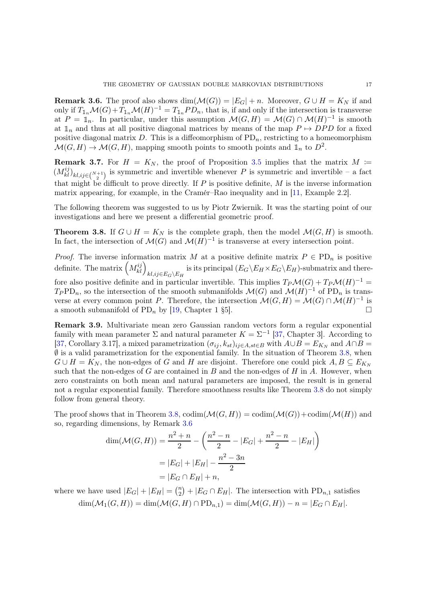**Remark 3.6.** The proof also shows  $dim(\mathcal{M}(G)) = |E_G| + n$ . Moreover,  $G \cup H = K_N$  if and only if  $T_{1n} \mathcal{M}(G) + T_{1n} \mathcal{M}(H)^{-1} = T_{1n} PD_n$ , that is, if and only if the intersection is transverse at  $P = \mathbb{I}_n$ . In particular, under this assumption  $\mathcal{M}(G,H) = \mathcal{M}(G) \cap \mathcal{M}(H)^{-1}$  is smooth at  $\mathbb{1}_n$  and thus at all positive diagonal matrices by means of the map  $P \mapsto DPD$  for a fixed positive diagonal matrix  $D$ . This is a diffeomorphism of  $PD_n$ , restricting to a homeomorphism  $\mathcal{M}(G,H) \to \mathcal{M}(G,H)$ , mapping smooth points to smooth points and  $\mathbb{1}_n$  to  $D^2$ .

**Remark 3.7.** For  $H = K_N$ , the proof of Proposition [3.5](#page-15-0) implies that the matrix  $M =$  $(M_{kl}^{ij})_{kl,ij}\in\binom{N+1}{2}$  is symmetric and invertible whenever P is symmetric and invertible – a fact that might be difficult to prove directly. If  $P$  is positive definite,  $M$  is the inverse information matrix appearing, for example, in the Cramér–Rao inequality and in [\[11,](#page-27-9) Example 2.2].

<span id="page-16-0"></span>The following theorem was suggested to us by Piotr Zwiernik. It was the starting point of our investigations and here we present a differential geometric proof.

**Theorem 3.8.** If  $G \cup H = K_N$  is the complete graph, then the model  $\mathcal{M}(G, H)$  is smooth. In fact, the intersection of  $\mathcal{M}(G)$  and  $\mathcal{M}(H)^{-1}$  is transverse at every intersection point.

*Proof.* The inverse information matrix M at a positive definite matrix  $P \in \mathrm{PD}_n$  is positive definite. The matrix  $\left(M^{ij}_{kl}\right)_{kl,ij\in E_G\setminus E_H}$ is its principal  $(E_G \backslash E_H \times E_G \backslash E_H)$ -submatrix and therefore also positive definite and in particular invertible. This implies  $T_P\mathcal{M}(G) + T_P\mathcal{M}(H)^{-1} =$  $T_PPD_n$ , so the intersection of the smooth submanifolds  $\mathcal{M}(G)$  and  $\mathcal{M}(H)^{-1}$  of PD<sub>n</sub> is transverse at every common point P. Therefore, the intersection  $\mathcal{M}(G,H) = \mathcal{M}(G) \cap \mathcal{M}(H)^{-1}$  is a smooth submanifold of PD<sub>n</sub> by [\[19,](#page-27-16) Chapter 1 §5].

Remark 3.9. Multivariate mean zero Gaussian random vectors form a regular exponential family with mean parameter  $\Sigma$  and natural parameter  $K = \Sigma^{-1}$  [\[37,](#page-28-14) Chapter 3]. According to [\[37,](#page-28-14) Corollary 3.17], a mixed parametrization  $(\sigma_{ij}, k_{st})_{ij \in A, st \in B}$  with  $A \cup B = E_{K_N}$  and  $A \cap B =$  $\emptyset$  is a valid parametrization for the exponential family. In the situation of Theorem [3.8,](#page-16-0) when  $G \cup H = K_N$ , the non-edges of G and H are disjoint. Therefore one could pick  $A, B \subseteq E_{K_N}$ such that the non-edges of  $G$  are contained in  $B$  and the non-edges of  $H$  in  $A$ . However, when zero constraints on both mean and natural parameters are imposed, the result is in general not a regular exponential family. Therefore smoothness results like Theorem [3.8](#page-16-0) do not simply follow from general theory.

The proof shows that in Theorem [3.8,](#page-16-0)  $\text{codim}(\mathcal{M}(G, H)) = \text{codim}(\mathcal{M}(G)) + \text{codim}(\mathcal{M}(H))$  and so, regarding dimensions, by Remark [3.6](#page-15-1)

$$
\dim(\mathcal{M}(G,H)) = \frac{n^2 + n}{2} - \left(\frac{n^2 - n}{2} - |E_G| + \frac{n^2 - n}{2} - |E_H|\right)
$$

$$
= |E_G| + |E_H| - \frac{n^2 - 3n}{2}
$$

$$
= |E_G \cap E_H| + n,
$$

where we have used  $|E_G| + |E_H| = {n \choose 2}$  $\binom{n}{2} + |E_G \cap E_H|$ . The intersection with PD<sub>n,1</sub> satisfies  $\dim(M_1(G,H)) = \dim(\mathcal{M}(G,H) \cap \mathrm{PD}_{n,1}) = \dim(\mathcal{M}(G,H)) - n = |E_G \cap E_H|.$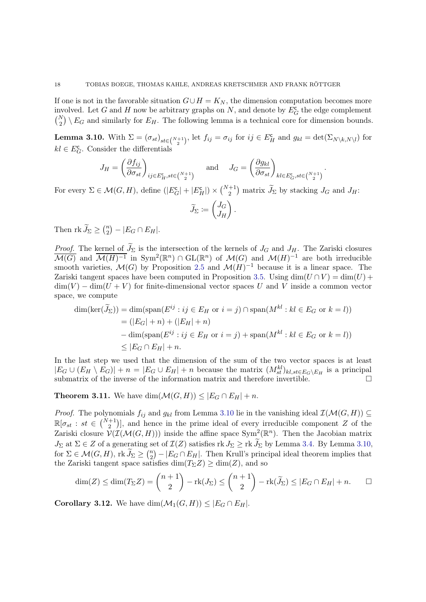If one is not in the favorable situation  $G \cup H = K_N$ , the dimension computation becomes more involved. Let G and H now be arbitrary graphs on N, and denote by  $E_G^{\mathsf{c}}$  the edge complement  $\binom{N}{2} \setminus E_G$  and similarly for  $E_H$ . The following lemma is a technical core for dimension bounds.

<span id="page-17-1"></span>**Lemma 3.10.** With  $\Sigma = (\sigma_{st})_{st \in {N+1 \choose 2}}$ , let  $f_{ij} = \sigma_{ij}$  for  $ij \in E_H^{\mathsf{c}}$  and  $g_{kl} = \det(\Sigma_{N \setminus k, N \setminus l})$  for  $kl \in E_G^{\mathsf{c}}$ . Consider the differentials

$$
J_H = \left(\frac{\partial f_{ij}}{\partial \sigma_{st}}\right)_{ij \in E_H^{\rm c}, st \in \binom{N+1}{2}} \quad \text{and} \quad J_G = \left(\frac{\partial g_{kl}}{\partial \sigma_{st}}\right)_{kl \in E_G^{\rm c}, st \in \binom{N+1}{2}}.
$$

For every  $\Sigma \in \mathcal{M}(G,H)$ , define  $(|E_G^{\mathsf{c}}| + |E_H^{\mathsf{c}}|) \times {\binom{N+1}{2}}$  matrix  $\widetilde{J}_{\Sigma}$  by stacking  $J_G$  and  $J_H$ :

$$
\widetilde{J}_{\Sigma} \coloneqq \begin{pmatrix} J_G \\ J_H \end{pmatrix}.
$$

Then  $\operatorname{rk} \widetilde{J}_{\Sigma} \geq {n \choose 2}$  ${n \choose 2} - |E_G \cap E_H|.$ 

*Proof.* The kernel of  $J_{\Sigma}$  is the intersection of the kernels of  $J_G$  and  $J_H$ . The Zariski closures  $\overline{\mathcal{M}(G)}$  and  $\overline{\mathcal{M}(H)^{-1}}$  in Sym<sup>2</sup>( $\mathbb{R}^n$ )  $\cap$  GL( $\mathbb{R}^n$ ) of  $\mathcal{M}(G)$  and  $\mathcal{M}(H)^{-1}$  are both irreducible smooth varieties,  $\mathcal{M}(G)$  by Proposition [2.5](#page-7-0) and  $\mathcal{M}(H)^{-1}$  because it is a linear space. The Zariski tangent spaces have been computed in Proposition [3.5.](#page-15-0) Using  $\dim(U \cap V) = \dim(U) +$  $\dim(V) - \dim(U + V)$  for finite-dimensional vector spaces U and V inside a common vector space, we compute

$$
\dim(\ker(\widetilde{J}_{\Sigma})) = \dim(\text{span}(E^{ij} : ij \in E_H \text{ or } i = j) \cap \text{span}(M^{kl} : kl \in E_G \text{ or } k = l))
$$
  
\n
$$
= (|E_G| + n) + (|E_H| + n)
$$
  
\n
$$
- \dim(\text{span}(E^{ij} : ij \in E_H \text{ or } i = j) + \text{span}(M^{kl} : kl \in E_G \text{ or } k = l))
$$
  
\n
$$
\leq |E_G \cap E_H| + n.
$$

In the last step we used that the dimension of the sum of the two vector spaces is at least  $|E_G \cup (E_H \setminus E_G)| + n = |E_G \cup E_H| + n$  because the matrix  $(M^{kl}_{st})_{kl, st \in E_G \setminus E_H}$  is a principal submatrix of the inverse of the information matrix and therefore invertible.

<span id="page-17-0"></span>**Theorem 3.11.** We have  $\dim(\mathcal{M}(G,H)) \leq |E_G \cap E_H| + n$ .

*Proof.* The polynomials  $f_{ij}$  and  $g_{kl}$  from Lemma [3.10](#page-17-1) lie in the vanishing ideal  $\mathcal{I}(\mathcal{M}(G, H)) \subseteq$  $\mathbb{R}[\sigma_{st} : st \in \binom{N+1}{2}]$ , and hence in the prime ideal of every irreducible component Z of the Zariski closure  $V(\mathcal{I}(\mathcal{M}(G,H)))$  inside the affine space Sym<sup>2</sup>( $\mathbb{R}^n$ ). Then the Jacobian matrix  $J_{\Sigma}$  at  $\Sigma \in Z$  of a generating set of  $\mathcal{I}(Z)$  satisfies rk  $J_{\Sigma} \geq$  rk  $\widetilde{J}_{\Sigma}$  by Lemma [3.4.](#page-14-1) By Lemma [3.10,](#page-17-1) for  $\Sigma \in \mathcal{M}(G,H)$ , rk  $\widetilde{J}_{\Sigma} \geq {n \choose 2}$  $\binom{n}{2} - |E_G \cap E_H|$ . Then Krull's principal ideal theorem implies that the Zariski tangent space satisfies  $\dim(T_{\Sigma}Z) \geq \dim(Z)$ , and so

$$
\dim(Z) \le \dim(T_{\Sigma}Z) = {n+1 \choose 2} - \text{rk}(J_{\Sigma}) \le {n+1 \choose 2} - \text{rk}(\widetilde{J}_{\Sigma}) \le |E_G \cap E_H| + n. \qquad \Box
$$

<span id="page-17-2"></span>**Corollary 3.12.** We have  $\dim(\mathcal{M}_1(G, H)) \leq |E_G \cap E_H|$ .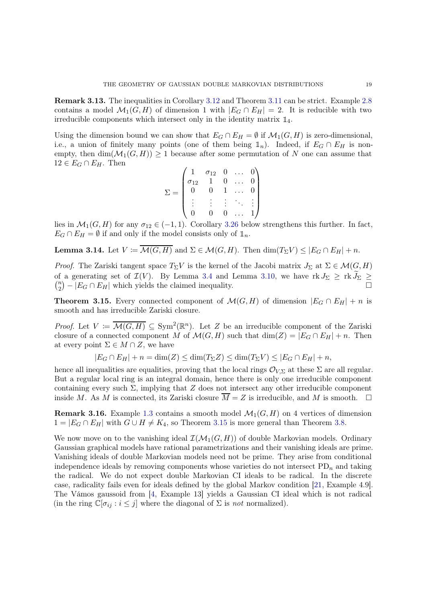Remark 3.13. The inequalities in Corollary [3.12](#page-17-2) and Theorem [3.11](#page-17-0) can be strict. Example [2.8](#page-8-2) contains a model  $\mathcal{M}_1(G, H)$  of dimension 1 with  $|E_G \cap E_H| = 2$ . It is reducible with two irreducible components which intersect only in the identity matrix <sup>1</sup>4.

Using the dimension bound we can show that  $E_G \cap E_H = \emptyset$  if  $\mathcal{M}_1(G, H)$  is zero-dimensional, i.e., a union of finitely many points (one of them being  $\mathbb{1}_n$ ). Indeed, if  $E_G \cap E_H$  is nonempty, then  $\dim(M_1(G,H)) \geq 1$  because after some permutation of N one can assume that  $12 \in E_G \cap E_H$ . Then

$$
\Sigma = \begin{pmatrix}\n1 & \sigma_{12} & 0 & \dots & 0 \\
\sigma_{12} & 1 & 0 & \dots & 0 \\
0 & 0 & 1 & \dots & 0 \\
\vdots & \vdots & \vdots & \ddots & \vdots \\
0 & 0 & 0 & \dots & 1\n\end{pmatrix}
$$

lies in  $\mathcal{M}_1(G, H)$  for any  $\sigma_{12} \in (-1, 1)$ . Corollary [3.26](#page-23-1) below strengthens this further. In fact,  $E_G \cap E_H = \emptyset$  if and only if the model consists only of  $\mathbb{1}_n$ .

**Lemma 3.14.** Let  $V \coloneqq \overline{\mathcal{M}(G,H)}$  and  $\Sigma \in \mathcal{M}(G,H)$ . Then  $\dim(T_{\Sigma}V) \leq |E_G \cap E_H| + n$ .

*Proof.* The Zariski tangent space  $T_{\Sigma}V$  is the kernel of the Jacobi matrix  $J_{\Sigma}$  at  $\Sigma \in \mathcal{M}(G, H)$ of a generating set of  $\mathcal{I}(V)$ . By Lemma [3.4](#page-14-1) and Lemma [3.10,](#page-17-1) we have  $\text{rk } J_{\Sigma} \geq \text{rk } J_{\Sigma} \geq$  $\binom{n}{2}$  $\binom{n}{2} - |E_G \cap E_H|$  which yields the claimed inequality.

<span id="page-18-0"></span>**Theorem 3.15.** Every connected component of  $\mathcal{M}(G, H)$  of dimension  $|E_G \cap E_H| + n$  is smooth and has irreducible Zariski closure.

*Proof.* Let  $V := \overline{\mathcal{M}(G,H)} \subseteq \text{Sym}^2(\mathbb{R}^n)$ . Let Z be an irreducible component of the Zariski closure of a connected component M of  $\mathcal{M}(G, H)$  such that  $dim(Z) = |E_G \cap E_H| + n$ . Then at every point  $\Sigma \in M \cap Z$ , we have

$$
|E_G \cap E_H| + n = \dim(Z) \le \dim(T_\Sigma Z) \le \dim(T_\Sigma V) \le |E_G \cap E_H| + n,
$$

hence all inequalities are equalities, proving that the local rings  $\mathcal{O}_{V,\Sigma}$  at these  $\Sigma$  are all regular. But a regular local ring is an integral domain, hence there is only one irreducible component containing every such  $\Sigma$ , implying that Z does not intersect any other irreducible component inside M. As M is connected, its Zariski closure  $\overline{M} = Z$  is irreducible, and M is smooth.  $\Box$ 

**Remark 3.16.** Example [1.3](#page-2-1) contains a smooth model  $\mathcal{M}_1(G, H)$  on 4 vertices of dimension  $1 = |E_G \cap E_H|$  with  $G \cup H \neq K_4$ , so Theorem [3.15](#page-18-0) is more general than Theorem [3.8.](#page-16-0)

We now move on to the vanishing ideal  $\mathcal{I}(\mathcal{M}_1(G, H))$  of double Markovian models. Ordinary Gaussian graphical models have rational parametrizations and their vanishing ideals are prime. Vanishing ideals of double Markovian models need not be prime. They arise from conditional independence ideals by removing components whose varieties do not intersect  $PD_n$  and taking the radical. We do not expect double Markovian CI ideals to be radical. In the discrete case, radicality fails even for ideals defined by the global Markov condition [\[21,](#page-27-17) Example 4.9]. The Vámos gaussoid from [\[4,](#page-27-7) Example 13] yields a Gaussian CI ideal which is not radical (in the ring  $\mathbb{C}[\sigma_{ij} : i \leq j]$  where the diagonal of  $\Sigma$  is not normalized).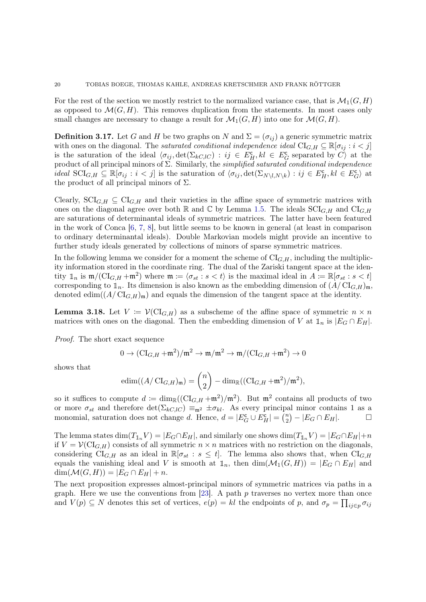For the rest of the section we mostly restrict to the normalized variance case, that is  $\mathcal{M}_1(G, H)$ as opposed to  $\mathcal{M}(G, H)$ . This removes duplication from the statements. In most cases only small changes are necessary to change a result for  $\mathcal{M}_1(G, H)$  into one for  $\mathcal{M}(G, H)$ .

<span id="page-19-0"></span>**Definition 3.17.** Let G and H be two graphs on N and  $\Sigma = (\sigma_{ij})$  a generic symmetric matrix with ones on the diagonal. The *saturated conditional independence ideal*  $CI_{G,H} \subseteq \mathbb{R}[\sigma_{ij} : i < j]$ is the saturation of the ideal  $\langle \sigma_{ij}, \det(\Sigma_{kC,IC}) : ij \in E_H^c, kl \in E_G^c$  separated by  $C \rangle$  at the product of all principal minors of  $\Sigma$ . Similarly, the simplified saturated conditional independence ideal  $\text{SCI}_{G,H} \subseteq \mathbb{R}[\sigma_{ij} : i < j]$  is the saturation of  $\langle \sigma_{ij}, \det(\Sigma_{N\setminus l,N\setminus k}) : ij \in E_H^{\mathsf{c}}, kl \in E_G^{\mathsf{c}}\rangle$  at the product of all principal minors of  $\Sigma$ .

Clearly,  $\text{SCI}_{G,H} \subseteq \text{CI}_{G,H}$  and their varieties in the affine space of symmetric matrices with ones on the diagonal agree over both R and C by Lemma [1.5.](#page-5-0) The ideals  $\text{SCI}_{G,H}$  and  $\text{CI}_{G,H}$ are saturations of determinantal ideals of symmetric matrices. The latter have been featured in the work of Conca [\[6,](#page-27-18) [7,](#page-27-3) [8\]](#page-27-19), but little seems to be known in general (at least in comparison to ordinary determinantal ideals). Double Markovian models might provide an incentive to further study ideals generated by collections of minors of sparse symmetric matrices.

In the following lemma we consider for a moment the scheme of  $CI_{G,H}$ , including the multiplicity information stored in the coordinate ring. The dual of the Zariski tangent space at the identity  $\mathbb{1}_n$  is  $\mathfrak{m}/(\mathrm{CI}_{G,H} + \mathfrak{m}^2)$  where  $\mathfrak{m} := \langle \sigma_{st} : s < t \rangle$  is the maximal ideal in  $A := \mathbb{R}[\sigma_{st} : s < t]$ corresponding to  $1_n$ . Its dimension is also known as the embedding dimension of  $(A/CI_{G,H})_{\mathfrak{m}}$ , denoted edim $((A/CI_{G,H})_{m})$  and equals the dimension of the tangent space at the identity.

**Lemma 3.18.** Let  $V := \mathcal{V}(\mathrm{CI}_{G,H})$  as a subscheme of the affine space of symmetric  $n \times n$ matrices with ones on the diagonal. Then the embedding dimension of V at  $\mathbb{1}_n$  is  $|E_G \cap E_H|$ .

Proof. The short exact sequence

$$
0 \to (\mathrm{CI}_{G,H} + \mathfrak{m}^2)/\mathfrak{m}^2 \to \mathfrak{m}/\mathfrak{m}^2 \to \mathfrak{m}/(\mathrm{CI}_{G,H} + \mathfrak{m}^2) \to 0
$$

shows that

$$
\mathrm{edim}((A/\operatorname{CI}_{G,H})_{\mathfrak{m}}) = \binom{n}{2} - \dim_{\mathbb{R}}((\operatorname{CI}_{G,H} + \mathfrak{m}^2)/\mathfrak{m}^2),
$$

so it suffices to compute  $d := \dim_{\mathbb{R}}((\text{CI}_{G,H} + \mathfrak{m}^2)/\mathfrak{m}^2)$ . But  $\mathfrak{m}^2$  contains all products of two or more  $\sigma_{st}$  and therefore  $\det(\Sigma_{kC,IC}) \equiv_{\mathfrak{m}^2} \pm \sigma_{kl}$ . As every principal minor contains 1 as a monomial, saturation does not change d. Hence,  $d = |E_G^{\mathsf{c}} \cup E_H^{\mathsf{c}}| = \binom{n}{2}$  $\binom{n}{2} - |E_G \cap E_H|.$ 

The lemma states dim( $T_{1n}V$ ) =  $|E_G \cap E_H|$ , and similarly one shows dim( $T_{1n}V$ ) =  $|E_G \cap E_H|$ +n if  $V = \mathcal{V}(\text{CI}_{G,H})$  consists of all symmetric  $n \times n$  matrices with no restriction on the diagonals, considering CI<sub>G,H</sub> as an ideal in  $\mathbb{R}[\sigma_{st} : s \leq t]$ . The lemma also shows that, when CI<sub>G,H</sub> equals the vanishing ideal and V is smooth at  $\mathbb{1}_n$ , then  $\dim(\mathcal{M}_1(G,H)) = |E_G \cap E_H|$  and  $\dim(\mathcal{M}(G,H)) = |E_G \cap E_H| + n.$ 

The next proposition expresses almost-principal minors of symmetric matrices via paths in a graph. Here we use the conventions from  $[23]$ . A path p traverses no vertex more than once and  $V(p) \subseteq N$  denotes this set of vertices,  $e(p) = kl$  the endpoints of p, and  $\sigma_p = \prod_{ij \in p} \sigma_{ij}$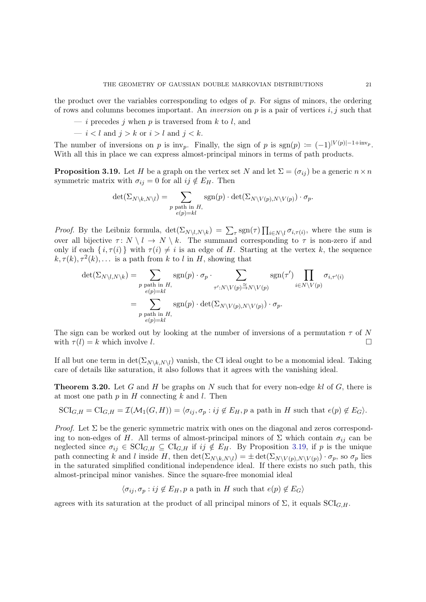the product over the variables corresponding to edges of  $p$ . For signs of minors, the ordering of rows and columns becomes important. An *inversion* on p is a pair of vertices i, j such that

- i precedes j when p is traversed from k to l, and
- $i < l$  and  $j > k$  or  $i > l$  and  $j < k$ .

<span id="page-20-1"></span>The number of inversions on p is inv<sub>p</sub>. Finally, the sign of p is sgn(p)  $:= (-1)^{|V(p)|-1+i\text{nv}_p}$ . With all this in place we can express almost-principal minors in terms of path products.

**Proposition 3.19.** Let H be a graph on the vertex set N and let  $\Sigma = (\sigma_{ij})$  be a generic  $n \times n$ symmetric matrix with  $\sigma_{ij} = 0$  for all  $ij \notin E_H$ . Then

$$
\det(\Sigma_{N\setminus k,N\setminus l}) = \sum_{\substack{p \text{ path in } H, \\ e(p)=kl}} \text{sgn}(p) \cdot \det(\Sigma_{N\setminus V(p),N\setminus V(p)}) \cdot \sigma_p.
$$

*Proof.* By the Leibniz formula,  $\det(\Sigma_{N\setminus l,N\setminus k}) = \sum_{\tau} \text{sgn}(\tau) \prod_{i\in N\setminus l} \sigma_{i,\tau(i)}$ , where the sum is over all bijective  $\tau: N \setminus l \to N \setminus k$ . The summand corresponding to  $\tau$  is non-zero if and only if each  $\{i, \tau(i)\}\$  with  $\tau(i) \neq i$  is an edge of H. Starting at the vertex k, the sequence  $k, \tau(k), \tau^{2}(k), \ldots$  is a path from k to l in H, showing that

$$
\det(\Sigma_{N\setminus l,N\setminus k}) = \sum_{\substack{p \text{ path in } H, \\ e(p)=kl}} \operatorname{sgn}(p) \cdot \sigma_p \cdot \sum_{\substack{\tau': N\setminus V(p) \stackrel{\simeq}{\to} N\setminus V(p) \\ \tau': N\setminus V(p) \to N\setminus V(p)}} \operatorname{sgn}(\tau') \prod_{i \in N\setminus V(p)} \sigma_{i,\tau'(i)}
$$

$$
= \sum_{\substack{p \text{ path in } H, \\ e(p)=kl}} \operatorname{sgn}(p) \cdot \det(\Sigma_{N\setminus V(p), N\setminus V(p)}) \cdot \sigma_p.
$$

The sign can be worked out by looking at the number of inversions of a permutation  $\tau$  of N with  $\tau(l) = k$  which involve l.

<span id="page-20-0"></span>If all but one term in  $\det(\Sigma_{N\setminus k,N\setminus l})$  vanish, the CI ideal ought to be a monomial ideal. Taking care of details like saturation, it also follows that it agrees with the vanishing ideal.

**Theorem 3.20.** Let G and H be graphs on N such that for every non-edge kl of G, there is at most one path  $p$  in  $H$  connecting  $k$  and  $l$ . Then

$$
SCI_{G,H} = CI_{G,H} = \mathcal{I}(\mathcal{M}_1(G,H)) = \langle \sigma_{ij}, \sigma_p : ij \notin E_H, p \text{ a path in } H \text{ such that } e(p) \notin E_G \rangle.
$$

*Proof.* Let  $\Sigma$  be the generic symmetric matrix with ones on the diagonal and zeros corresponding to non-edges of H. All terms of almost-principal minors of  $\Sigma$  which contain  $\sigma_{ij}$  can be neglected since  $\sigma_{ij} \in \text{SCI}_{G,H} \subseteq \text{CI}_{G,H}$  if  $ij \notin E_H$ . By Proposition [3.19,](#page-20-1) if p is the unique path connecting k and l inside H, then  $\det(\Sigma_{N\setminus k,N\setminus l}) = \pm \det(\Sigma_{N\setminus V(p),N\setminus V(p)}) \cdot \sigma_p$ , so  $\sigma_p$  lies in the saturated simplified conditional independence ideal. If there exists no such path, this almost-principal minor vanishes. Since the square-free monomial ideal

$$
\langle \sigma_{ij}, \sigma_p : ij \notin E_H, p \text{ a path in } H \text{ such that } e(p) \notin E_G \rangle
$$

agrees with its saturation at the product of all principal minors of  $\Sigma$ , it equals  $\text{SCI}_{G,H}$ .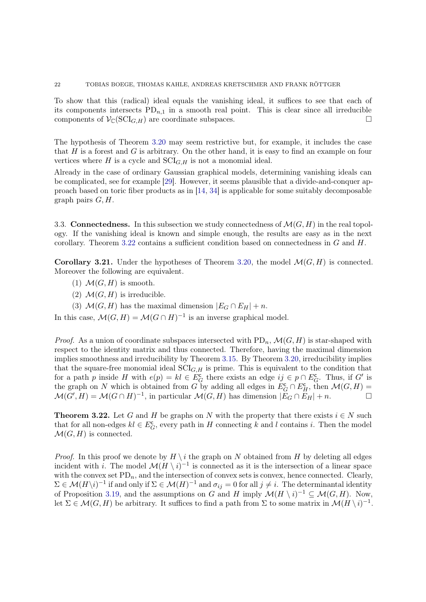To show that this (radical) ideal equals the vanishing ideal, it suffices to see that each of its components intersects  $PD_{n,1}$  in a smooth real point. This is clear since all irreducible components of  $\mathcal{V}_{\mathbb{C}}(\mathrm{SCI}_{G,H})$  are coordinate subspaces.

The hypothesis of Theorem [3.20](#page-20-0) may seem restrictive but, for example, it includes the case that  $H$  is a forest and  $G$  is arbitrary. On the other hand, it is easy to find an example on four vertices where H is a cycle and  $\text{SCI}_{G,H}$  is not a monomial ideal.

Already in the case of ordinary Gaussian graphical models, determining vanishing ideals can be complicated, see for example [\[29\]](#page-28-15). However, it seems plausible that a divide-and-conquer approach based on toric fiber products as in [\[14,](#page-27-20) [34\]](#page-28-16) is applicable for some suitably decomposable graph pairs  $G, H$ .

<span id="page-21-1"></span><span id="page-21-0"></span>3.3. **Connectedness.** In this subsection we study connectedness of  $\mathcal{M}(G, H)$  in the real topology. If the vanishing ideal is known and simple enough, the results are easy as in the next corollary. Theorem [3.22](#page-21-2) contains a sufficient condition based on connectedness in G and H.

**Corollary 3.21.** Under the hypotheses of Theorem [3.20,](#page-20-0) the model  $\mathcal{M}(G, H)$  is connected. Moreover the following are equivalent.

- (1)  $\mathcal{M}(G,H)$  is smooth.
- (2)  $\mathcal{M}(G,H)$  is irreducible.
- (3)  $\mathcal{M}(G, H)$  has the maximal dimension  $|E_G \cap E_H| + n$ .

In this case,  $\mathcal{M}(G,H) = \mathcal{M}(G \cap H)^{-1}$  is an inverse graphical model.

*Proof.* As a union of coordinate subspaces intersected with  $PD_n$ ,  $\mathcal{M}(G, H)$  is star-shaped with respect to the identity matrix and thus connected. Therefore, having the maximal dimension implies smoothness and irreducibility by Theorem [3.15.](#page-18-0) By Theorem [3.20,](#page-20-0) irreducibility implies that the square-free monomial ideal  $\text{SCI}_{G,H}$  is prime. This is equivalent to the condition that for a path p inside H with  $e(p) = kl \in \mathbb{E}_G^{\mathbb{C}}$  there exists an edge  $ij \in p \cap E_G^{\mathbb{C}}$ . Thus, if G' is the graph on N which is obtained from G by adding all edges in  $E_G^{\mathsf{c}} \cap E_H^{\mathsf{c}}$ , then  $\mathcal{M}(G,H)$  =  $\mathcal{M}(G', H) = \mathcal{M}(G \cap H)^{-1}$ , in particular  $\mathcal{M}(G, H)$  has dimension  $|\breve{E}_G \cap \breve{E}_H| + n$ .

<span id="page-21-2"></span>**Theorem 3.22.** Let G and H be graphs on N with the property that there exists  $i \in N$  such that for all non-edges  $kl \in E_G^{\mathsf{c}}$ , every path in H connecting k and l contains i. Then the model  $\mathcal{M}(G,H)$  is connected.

*Proof.* In this proof we denote by  $H \setminus i$  the graph on N obtained from H by deleting all edges incident with i. The model  $\mathcal{M}(H \setminus i)^{-1}$  is connected as it is the intersection of a linear space with the convex set  $PD_n$ , and the intersection of convex sets is convex, hence connected. Clearly,  $\Sigma \in \mathcal{M}(H \setminus i)^{-1}$  if and only if  $\Sigma \in \mathcal{M}(H)^{-1}$  and  $\sigma_{ij} = 0$  for all  $j \neq i$ . The determinantal identity of Proposition [3.19,](#page-20-1) and the assumptions on G and H imply  $\mathcal{M}(H \setminus i)^{-1} \subseteq \mathcal{M}(G, H)$ . Now, let  $\Sigma \in \mathcal{M}(G,H)$  be arbitrary. It suffices to find a path from  $\Sigma$  to some matrix in  $\mathcal{M}(H \setminus i)^{-1}$ .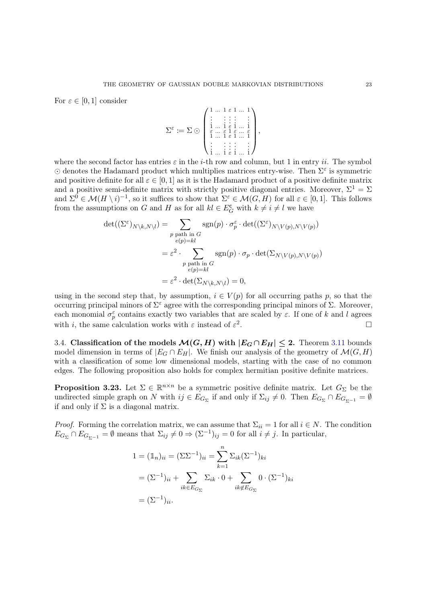For  $\varepsilon \in [0,1]$  consider

$$
\Sigma^{\varepsilon} := \Sigma \odot \begin{pmatrix} 1 & \dots & 1 & \varepsilon & 1 & \dots & 1 \\ \vdots & & \vdots & \vdots & & \vdots & \vdots \\ \vdots & & \vdots & \varepsilon & 1 & \dots & 1 \\ \varepsilon & \dots & \varepsilon & 1 & \varepsilon & \dots & \varepsilon \\ \vdots & & \vdots & \varepsilon & 1 & \dots & 1 \\ \vdots & & \vdots & \vdots & \vdots & \vdots \\ \vdots & & \vdots & \vdots & \vdots & \vdots \\ \vdots & & \vdots & \vdots & \vdots & \dots & \vdots \end{pmatrix},
$$

where the second factor has entries  $\varepsilon$  in the *i*-th row and column, but 1 in entry *ii*. The symbol  $\odot$  denotes the Hadamard product which multiplies matrices entry-wise. Then  $\Sigma^{\varepsilon}$  is symmetric and positive definite for all  $\varepsilon \in [0, 1]$  as it is the Hadamard product of a positive definite matrix and a positive semi-definite matrix with strictly positive diagonal entries. Moreover,  $\Sigma^1 = \Sigma$ and  $\Sigma^0 \in \mathcal{M}(H \setminus i)^{-1}$ , so it suffices to show that  $\Sigma^{\varepsilon} \in \mathcal{M}(G, H)$  for all  $\varepsilon \in [0, 1]$ . This follows from the assumptions on G and H as for all  $kl \in E_G^c$  with  $k \neq i \neq l$  we have

$$
\det((\Sigma^{\varepsilon})_{N\setminus k,N\setminus l}) = \sum_{\substack{p \text{ path in } G \\ e(p)=kl}} \operatorname{sgn}(p) \cdot \sigma_p^{\varepsilon} \cdot \det((\Sigma^{\varepsilon})_{N\setminus V(p),N\setminus V(p)})
$$

$$
= \varepsilon^2 \cdot \sum_{\substack{p \text{ path in } G \\ e(p)=kl}} \operatorname{sgn}(p) \cdot \sigma_p \cdot \det(\Sigma_{N\setminus V(p),N\setminus V(p)})
$$

$$
= \varepsilon^2 \cdot \det(\Sigma_{N\setminus k,N\setminus l}) = 0,
$$

using in the second step that, by assumption,  $i \in V(p)$  for all occurring paths p, so that the occurring principal minors of  $\Sigma^{\varepsilon}$  agree with the corresponding principal minors of  $\Sigma$ . Moreover, each monomial  $\sigma_p^{\varepsilon}$  contains exactly two variables that are scaled by  $\varepsilon$ . If one of k and l agrees with *i*, the same calculation works with  $\varepsilon$  instead of  $\varepsilon^2$ . В последните поставите на производите на селото на селото на селото на селото на селото на селото на селото<br>В селото на селото на селото на селото на селото на селото на селото на селото на селото на селото на селото н

3.4. Classification of the models  $\mathcal{M}(G, H)$  with  $|E_G \cap E_H| \leq 2$ . Theorem [3.11](#page-17-0) bounds model dimension in terms of  $|E_G \cap E_H|$ . We finish our analysis of the geometry of  $\mathcal{M}(G, H)$ with a classification of some low dimensional models, starting with the case of no common edges. The following proposition also holds for complex hermitian positive definite matrices.

<span id="page-22-0"></span>**Proposition 3.23.** Let  $\Sigma \in \mathbb{R}^{n \times n}$  be a symmetric positive definite matrix. Let  $G_{\Sigma}$  be the undirected simple graph on N with  $ij \in E_{G_{\Sigma}}$  if and only if  $\Sigma_{ij} \neq 0$ . Then  $E_{G_{\Sigma}} \cap E_{G_{\Sigma^{-1}}} = \emptyset$ if and only if  $\Sigma$  is a diagonal matrix.

*Proof.* Forming the correlation matrix, we can assume that  $\Sigma_{ii} = 1$  for all  $i \in N$ . The condition  $E_{G_{\Sigma}} \cap E_{G_{\Sigma^{-1}}} = \emptyset$  means that  $\Sigma_{ij} \neq 0 \Rightarrow (\Sigma^{-1})_{ij} = 0$  for all  $i \neq j$ . In particular,

$$
1 = (\mathbb{1}_n)_{ii} = (\Sigma \Sigma^{-1})_{ii} = \sum_{k=1}^n \Sigma_{ik} (\Sigma^{-1})_{ki}
$$

$$
= (\Sigma^{-1})_{ii} + \sum_{ik \in E_{G_{\Sigma}}} \Sigma_{ik} \cdot 0 + \sum_{ik \notin E_{G_{\Sigma}}} 0 \cdot (\Sigma^{-1})_{ki}
$$

$$
= (\Sigma^{-1})_{ii}.
$$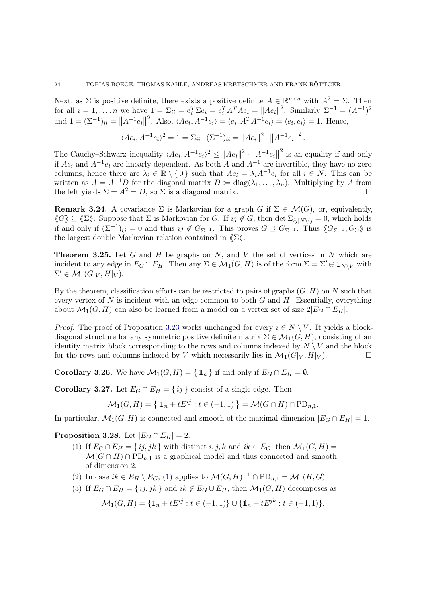Next, as  $\Sigma$  is positive definite, there exists a positive definite  $A \in \mathbb{R}^{n \times n}$  with  $A^2 = \Sigma$ . Then for all  $i = 1, ..., n$  we have  $1 = \sum_{ii} = e_i^T \Sigma e_i = e_i^T A^T A e_i = ||A e_i||^2$ . Similarly  $\Sigma^{-1} = (A^{-1})^2$ and  $1 = (\Sigma^{-1})_{ii} = ||A^{-1}e_i||^2$ . Also,  $\langle Ae_i, A^{-1}e_i \rangle = \langle e_i, A^T A^{-1}e_i \rangle = \langle e_i, e_i \rangle = 1$ . Hence,

$$
\langle Ae_i, A^{-1}e_i\rangle^2 = 1 = \sum_{ii} \cdot (\Sigma^{-1})_{ii} = ||Ae_i||^2 \cdot ||A^{-1}e_i||^2.
$$

The Cauchy–Schwarz inequality  $\langle Ae_i, A^{-1}e_i\rangle^2 \leq ||Ae_i||^2 \cdot ||A^{-1}e_i||^2$  is an equality if and only if  $Ae_i$  and  $A^{-1}e_i$  are linearly dependent. As both A and  $A^{-1}$  are invertible, they have no zero columns, hence there are  $\lambda_i \in \mathbb{R} \setminus \{0\}$  such that  $Ae_i = \lambda_i A^{-1}e_i$  for all  $i \in N$ . This can be written as  $A = A^{-1}D$  for the diagonal matrix  $D := diag(\lambda_1, ..., \lambda_n)$ . Multiplying by A from the left yields  $\Sigma = A^2 = D$ , so  $\Sigma$  is a diagonal matrix.

**Remark 3.24.** A covariance  $\Sigma$  is Markovian for a graph G if  $\Sigma \in \mathcal{M}(G)$ , or, equivalently,  $\langle G \rangle \subseteq \langle \Sigma \rangle$ . Suppose that  $\Sigma$  is Markovian for G. If  $ij \notin G$ , then det  $\Sigma_{ij|N\setminus ij} = 0$ , which holds if and only if  $(\Sigma^{-1})_{ij} = 0$  and thus  $ij \notin G_{\Sigma^{-1}}$ . This proves  $G \supseteq G_{\Sigma^{-1}}$ . Thus  $\langle\!\langle G_{\Sigma^{-1}} , G_{\Sigma} \rangle\!\rangle$  is the largest double Markovian relation contained in  $\langle \Sigma \rangle$ .

**Theorem 3.25.** Let  $G$  and  $H$  be graphs on  $N$ , and  $V$  the set of vertices in  $N$  which are incident to any edge in  $E_G \cap E_H$ . Then any  $\Sigma \in \mathcal{M}_1(G,H)$  is of the form  $\Sigma = \Sigma' \oplus \mathbb{1}_{N\setminus V}$  with  $\Sigma' \in \mathcal{M}_1(G|_V, H|_V).$ 

By the theorem, classification efforts can be restricted to pairs of graphs  $(G, H)$  on N such that every vertex of  $N$  is incident with an edge common to both  $G$  and  $H$ . Essentially, everything about  $\mathcal{M}_1(G, H)$  can also be learned from a model on a vertex set of size  $2|E_G \cap E_H|$ .

*Proof.* The proof of Proposition [3.23](#page-22-0) works unchanged for every  $i \in N \setminus V$ . It yields a blockdiagonal structure for any symmetric positive definite matrix  $\Sigma \in \mathcal{M}_1(G, H)$ , consisting of an identity matrix block corresponding to the rows and columns indexed by  $N \setminus V$  and the block for the rows and columns indexed by V which necessarily lies in  $\mathcal{M}_1(G|_V, H|_V)$ .

<span id="page-23-1"></span><span id="page-23-0"></span>**Corollary 3.26.** We have  $\mathcal{M}_1(G, H) = \{ \mathbb{1}_n \}$  if and only if  $E_G \cap E_H = \emptyset$ .

**Corollary 3.27.** Let  $E_G \cap E_H = \{ij\}$  consist of a single edge. Then

$$
\mathcal{M}_1(G, H) = \left\{ \mathbb{1}_n + tE^{ij} : t \in (-1, 1) \right\} = \mathcal{M}(G \cap H) \cap \text{PD}_{n,1}.
$$

<span id="page-23-2"></span>In particular,  $\mathcal{M}_1(G, H)$  is connected and smooth of the maximal dimension  $|E_G \cap E_H| = 1$ .

<span id="page-23-3"></span>**Proposition 3.28.** Let  $|E_G \cap E_H| = 2$ .

- (1) If  $E_G \cap E_H = \{ij, jk\}$  with distinct  $i, j, k$  and  $ik \in E_G$ , then  $\mathcal{M}_1(G, H) =$  $\mathcal{M}(G \cap H) \cap \mathrm{PD}_{n,1}$  is a graphical model and thus connected and smooth of dimension 2.
- <span id="page-23-4"></span>(2) In case  $ik \in E_H \setminus E_G$ , [\(1\)](#page-23-3) applies to  $\mathcal{M}(G, H)^{-1} \cap \text{PD}_{n,1} = \mathcal{M}_1(H, G)$ .
- (3) If  $E_G \cap E_H = \{ ij, jk \}$  and  $ik \notin E_G \cup E_H$ , then  $\mathcal{M}_1(G, H)$  decomposes as

$$
\mathcal{M}_1(G, H) = \{ \mathbb{1}_n + tE^{ij} : t \in (-1, 1) \} \cup \{ \mathbb{1}_n + tE^{jk} : t \in (-1, 1) \}.
$$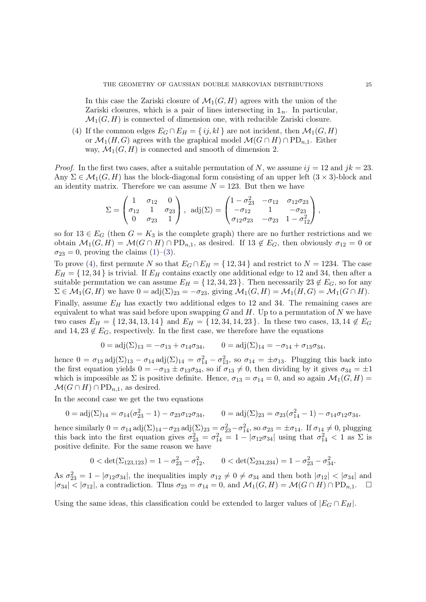In this case the Zariski closure of  $\mathcal{M}_1(G, H)$  agrees with the union of the Zariski closures, which is a pair of lines intersecting in  $\mathbb{1}_n$ . In particular,  $\mathcal{M}_1(G, H)$  is connected of dimension one, with reducible Zariski closure.

<span id="page-24-0"></span>(4) If the common edges  $E_G \cap E_H = \{ij, kl\}$  are not incident, then  $\mathcal{M}_1(G, H)$ or  $\mathcal{M}_1(H, G)$  agrees with the graphical model  $\mathcal{M}(G \cap H) \cap \mathrm{PD}_{n,1}$ . Either way,  $\mathcal{M}_1(G, H)$  is connected and smooth of dimension 2.

*Proof.* In the first two cases, after a suitable permutation of N, we assume  $ij = 12$  and  $jk = 23$ . Any  $\Sigma \in \mathcal{M}_1(G, H)$  has the block-diagonal form consisting of an upper left  $(3 \times 3)$ -block and an identity matrix. Therefore we can assume  $N = 123$ . But then we have

$$
\Sigma = \begin{pmatrix} 1 & \sigma_{12} & 0 \\ \sigma_{12} & 1 & \sigma_{23} \\ 0 & \sigma_{23} & 1 \end{pmatrix}, \text{ adj}(\Sigma) = \begin{pmatrix} 1 - \sigma_{23}^2 & -\sigma_{12} & \sigma_{12}\sigma_{23} \\ -\sigma_{12} & 1 & -\sigma_{23} \\ \sigma_{12}\sigma_{23} & -\sigma_{23} & 1 - \sigma_{12}^2 \end{pmatrix},
$$

so for  $13 \in E_G$  (then  $G = K_3$  is the complete graph) there are no further restrictions and we obtain  $\mathcal{M}_1(G, H) = \mathcal{M}(G \cap H) \cap \mathrm{PD}_{n,1}$ , as desired. If  $13 \notin E_G$ , then obviously  $\sigma_{12} = 0$  or  $\sigma_{23} = 0$ , proving the claims [\(1\)](#page-23-3)–[\(3\)](#page-23-4).

To prove [\(4\)](#page-24-0), first permute N so that  $E_G \cap E_H = \{12, 34\}$  and restrict to  $N = 1234$ . The case  $E_H = \{12, 34\}$  is trivial. If  $E_H$  contains exactly one additional edge to 12 and 34, then after a suitable permutation we can assume  $E_H = \{12, 34, 23\}$ . Then necessarily  $23 \notin E_G$ , so for any  $\Sigma \in \mathcal{M}_1(G, H)$  we have  $0 = adj(\Sigma)_{23} = -\sigma_{23}$ , giving  $\mathcal{M}_1(G, H) = \mathcal{M}_1(H, G) = \mathcal{M}_1(G \cap H)$ .

Finally, assume  $E_H$  has exactly two additional edges to 12 and 34. The remaining cases are equivalent to what was said before upon swapping  $G$  and  $H$ . Up to a permutation of  $N$  we have two cases  $E_H = \{12, 34, 13, 14\}$  and  $E_H = \{12, 34, 14, 23\}$ . In these two cases, 13, 14  $\notin E_G$ and  $14, 23 \notin E_G$ , respectively. In the first case, we therefore have the equations

$$
0 = adj(\Sigma)_{13} = -\sigma_{13} + \sigma_{14}\sigma_{34}, \qquad 0 = adj(\Sigma)_{14} = -\sigma_{14} + \sigma_{13}\sigma_{34},
$$

hence  $0 = \sigma_{13} \text{adj}(\Sigma)_{13} - \sigma_{14} \text{adj}(\Sigma)_{14} = \sigma_{14}^2 - \sigma_{13}^2$ , so  $\sigma_{14} = \pm \sigma_{13}$ . Plugging this back into the first equation yields  $0 = -\sigma_{13} \pm \sigma_{13}\sigma_{34}$ , so if  $\sigma_{13} \neq 0$ , then dividing by it gives  $\sigma_{34} = \pm 1$ which is impossible as  $\Sigma$  is positive definite. Hence,  $\sigma_{13} = \sigma_{14} = 0$ , and so again  $\mathcal{M}_1(G, H) =$  $\mathcal{M}(G \cap H) \cap \mathrm{PD}_{n,1}$ , as desired.

In the second case we get the two equations

$$
0 = adj(\Sigma)_{14} = \sigma_{14}(\sigma_{23}^2 - 1) - \sigma_{23}\sigma_{12}\sigma_{34}, \qquad 0 = adj(\Sigma)_{23} = \sigma_{23}(\sigma_{14}^2 - 1) - \sigma_{14}\sigma_{12}\sigma_{34},
$$

hence similarly  $0 = \sigma_{14} \text{ adj}(\Sigma)_{14} - \sigma_{23} \text{ adj}(\Sigma)_{23} = \sigma_{23}^2 - \sigma_{14}^2$ , so  $\sigma_{23} = \pm \sigma_{14}$ . If  $\sigma_{14} \neq 0$ , plugging this back into the first equation gives  $\sigma_{23}^2 = \sigma_{14}^2 = 1 - |\sigma_{12}\sigma_{34}|$  using that  $\sigma_{14}^2 < 1$  as  $\Sigma$  is positive definite. For the same reason we have

$$
0 < \det(\Sigma_{123,123}) = 1 - \sigma_{23}^2 - \sigma_{12}^2, \qquad 0 < \det(\Sigma_{234,234}) = 1 - \sigma_{23}^2 - \sigma_{34}^2.
$$

As  $\sigma_{23}^2 = 1 - |\sigma_{12}\sigma_{34}|$ , the inequalities imply  $\sigma_{12} \neq 0 \neq \sigma_{34}$  and then both  $|\sigma_{12}| < |\sigma_{34}|$  and  $|\sigma_{34}| < |\sigma_{12}|$ , a contradiction. Thus  $\sigma_{23} = \sigma_{14} = 0$ , and  $\mathcal{M}_1(G, H) = \mathcal{M}(G \cap H) \cap \text{PD}_{n,1}$ .

Using the same ideas, this classification could be extended to larger values of  $|E_G \cap E_H|$ .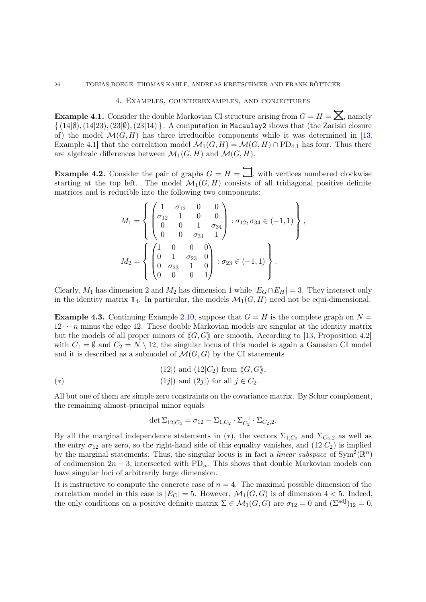## 4. Examples, counterexamples, and conjectures

<span id="page-25-2"></span><span id="page-25-0"></span>**Example 4.1.** Consider the double Markovian CI structure arising from  $G = H = \sum$ , namely  $\{(14|\emptyset), (14|23), (23|\emptyset), (23|14)\}\.$  A computation in Macaulay2 shows that (the Zariski closure of) the model  $\mathcal{M}(G, H)$  has three irreducible components while it was determined in [\[13,](#page-27-12) Example 4.1] that the correlation model  $\mathcal{M}_1(G, H) = \mathcal{M}(G, H) \cap \text{PD}_{4,1}$  has four. Thus there are algebraic differences between  $\mathcal{M}_1(G, H)$  and  $\mathcal{M}(G, H)$ .

<span id="page-25-1"></span>**Example 4.2.** Consider the pair of graphs  $G = H = \prod$ , with vertices numbered clockwise starting at the top left. The model  $\mathcal{M}_1(G,H)$  consists of all tridiagonal positive definite matrices and is reducible into the following two components:

$$
M_1 = \left\{ \begin{pmatrix} 1 & \sigma_{12} & 0 & 0 \\ \sigma_{12} & 1 & 0 & 0 \\ 0 & 0 & 1 & \sigma_{34} \\ 0 & 0 & \sigma_{34} & 1 \end{pmatrix} : \sigma_{12}, \sigma_{34} \in (-1, 1) \right\},
$$
  

$$
M_2 = \left\{ \begin{pmatrix} 1 & 0 & 0 & 0 \\ 0 & 1 & \sigma_{23} & 0 \\ 0 & \sigma_{23} & 1 & 0 \\ 0 & 0 & 0 & 1 \end{pmatrix} : \sigma_{23} \in (-1, 1) \right\}.
$$

Clearly,  $M_1$  has dimension 2 and  $M_2$  has dimension 1 while  $|E_G \cap E_H| = 3$ . They intersect only in the identity matrix  $\mathbb{1}_4$ . In particular, the models  $\mathcal{M}_1(G, H)$  need not be equi-dimensional.

<span id="page-25-3"></span>**Example 4.3.** Continuing Example [2.10,](#page-9-0) suppose that  $G = H$  is the complete graph on  $N =$  $12 \cdots n$  minus the edge 12. These double Markovian models are singular at the identity matrix but the models of all proper minors of  $\langle G, G \rangle$  are smooth. According to [\[13,](#page-27-12) Proposition 4.2] with  $C_1 = \emptyset$  and  $C_2 = N \setminus 12$ , the singular locus of this model is again a Gaussian CI model and it is described as a submodel of  $\mathcal{M}(G, G)$  by the CI statements

<span id="page-25-4"></span>
$$
(12|) \text{ and } (12|C_2) \text{ from } \langle\!\langle G, G \rangle\!\rangle
$$
  

$$
(1j|) \text{ and } (2j|) \text{ for all } j \in C_2.
$$

All but one of them are simple zero constraints on the covariance matrix. By Schur complement, the remaining almost-principal minor equals

$$
\det \Sigma_{12|C_2} = \sigma_{12} - \Sigma_{1,C_2} \cdot \Sigma_{C_2}^{-1} \cdot \Sigma_{C_2,2}.
$$

By all the marginal independence statements in  $(*)$ , the vectors  $\Sigma_{1,C_2}$  and  $\Sigma_{C_2,2}$  as well as the entry  $\sigma_{12}$  are zero, so the right-hand side of this equality vanishes, and  $(12|C_2)$  is implied by the marginal statements. Thus, the singular locus is in fact a *linear subspace* of  $Sym^2(\mathbb{R}^n)$ of codimension  $2n-3$ , intersected with PD<sub>n</sub>. This shows that double Markovian models can have singular loci of arbitrarily large dimension.

It is instructive to compute the concrete case of  $n = 4$ . The maximal possible dimension of the correlation model in this case is  $|E_G| = 5$ . However,  $\mathcal{M}_1(G, G)$  is of dimension  $4 < 5$ . Indeed, the only conditions on a positive definite matrix  $\Sigma \in \mathcal{M}_1(G, G)$  are  $\sigma_{12} = 0$  and  $(\Sigma^{\text{adj}})_{12} = 0$ ,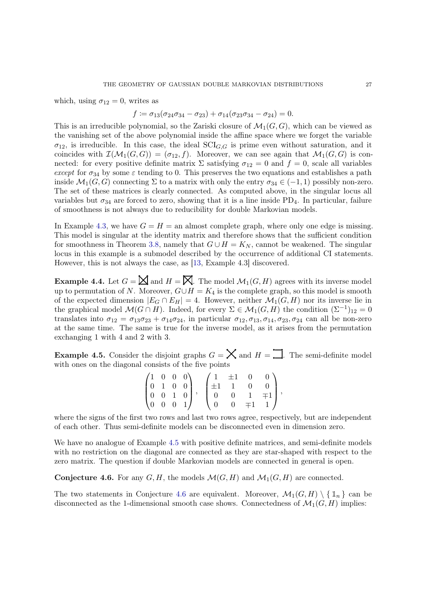which, using  $\sigma_{12} = 0$ , writes as

$$
f \coloneqq \sigma_{13}(\sigma_{24}\sigma_{34} - \sigma_{23}) + \sigma_{14}(\sigma_{23}\sigma_{34} - \sigma_{24}) = 0.
$$

This is an irreducible polynomial, so the Zariski closure of  $\mathcal{M}_1(G, G)$ , which can be viewed as the vanishing set of the above polynomial inside the affine space where we forget the variable  $\sigma_{12}$ , is irreducible. In this case, the ideal  $\text{SCI}_{G,G}$  is prime even without saturation, and it coincides with  $\mathcal{I}(\mathcal{M}_1(G,G)) = (\sigma_{12}, f)$ . Moreover, we can see again that  $\mathcal{M}_1(G,G)$  is connected: for every positive definite matrix  $\Sigma$  satisfying  $\sigma_{12} = 0$  and  $f = 0$ , scale all variables except for  $\sigma_{34}$  by some  $\varepsilon$  tending to 0. This preserves the two equations and establishes a path inside  $\mathcal{M}_1(G, G)$  connecting  $\Sigma$  to a matrix with only the entry  $\sigma_{34} \in (-1, 1)$  possibly non-zero. The set of these matrices is clearly connected. As computed above, in the singular locus all variables but  $\sigma_{34}$  are forced to zero, showing that it is a line inside PD<sub>4</sub>. In particular, failure of smoothness is not always due to reducibility for double Markovian models.

In Example [4.3,](#page-25-3) we have  $G = H =$  an almost complete graph, where only one edge is missing. This model is singular at the identity matrix and therefore shows that the sufficient condition for smoothness in Theorem [3.8,](#page-16-0) namely that  $G \cup H = K_N$ , cannot be weakened. The singular locus in this example is a submodel described by the occurrence of additional CI statements. However, this is not always the case, as [\[13,](#page-27-12) Example 4.3] discovered.

**Example 4.4.** Let  $G = \mathbb{X}$  and  $H = \mathbb{X}$ . The model  $\mathcal{M}_1(G, H)$  agrees with its inverse model up to permutation of N. Moreover,  $G \cup H = K_4$  is the complete graph, so this model is smooth of the expected dimension  $|E_G \cap E_H| = 4$ . However, neither  $\mathcal{M}_1(G, H)$  nor its inverse lie in the graphical model  $\mathcal{M}(G \cap H)$ . Indeed, for every  $\Sigma \in \mathcal{M}_1(G,H)$  the condition  $(\Sigma^{-1})_{12} = 0$ translates into  $\sigma_{12} = \sigma_{13}\sigma_{23} + \sigma_{14}\sigma_{24}$ , in particular  $\sigma_{12}, \sigma_{13}, \sigma_{14}, \sigma_{23}, \sigma_{24}$  can all be non-zero at the same time. The same is true for the inverse model, as it arises from the permutation exchanging 1 with 4 and 2 with 3.

<span id="page-26-1"></span>**Example 4.5.** Consider the disjoint graphs  $G = \times$  and  $H = \prod$ . The semi-definite model with ones on the diagonal consists of the five points

| $\begin{pmatrix} 1 & 0 & 0 & 0 \end{pmatrix}$                                                    |  |  | $\left( \begin{array}{c} 1 \end{array} \right)$ | $\pm 1$ 0      |           |         |  |
|--------------------------------------------------------------------------------------------------|--|--|-------------------------------------------------|----------------|-----------|---------|--|
|                                                                                                  |  |  | $1 \pm 1$ .                                     |                | 0         |         |  |
|                                                                                                  |  |  | $\cdot$ 0                                       | $\overline{0}$ |           | $\mp 1$ |  |
| $\begin{pmatrix} 1 & 0 & 0 & 0 \\ 0 & 1 & 0 & 0 \\ 0 & 0 & 1 & 0 \\ 0 & 0 & 0 & 1 \end{pmatrix}$ |  |  | $\theta$                                        | $\overline{0}$ | $\mp 1$ 1 |         |  |

where the signs of the first two rows and last two rows agree, respectively, but are independent of each other. Thus semi-definite models can be disconnected even in dimension zero.

We have no analogue of Example [4.5](#page-26-1) with positive definite matrices, and semi-definite models with no restriction on the diagonal are connected as they are star-shaped with respect to the zero matrix. The question if double Markovian models are connected in general is open.

<span id="page-26-0"></span>**Conjecture 4.6.** For any  $G, H$ , the models  $\mathcal{M}(G, H)$  and  $\mathcal{M}_1(G, H)$  are connected.

The two statements in Conjecture [4.6](#page-26-0) are equivalent. Moreover,  $\mathcal{M}_1(G, H) \setminus \{1_n\}$  can be disconnected as the 1-dimensional smooth case shows. Connectedness of  $\mathcal{M}_1(G, H)$  implies: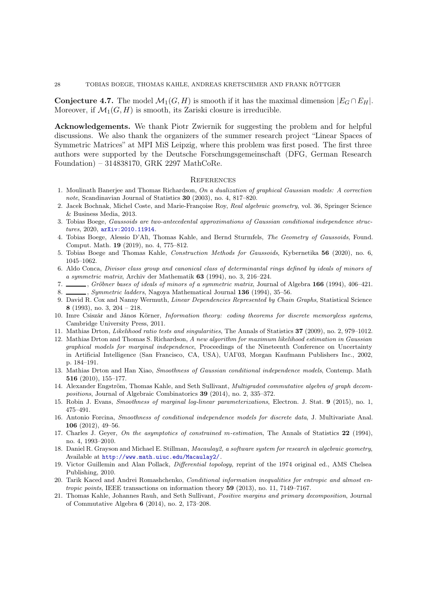# 28 TOBIAS BOEGE, THOMAS KAHLE, ANDREAS KRETSCHMER AND FRANK RÖTTGER

**Conjecture 4.7.** The model  $\mathcal{M}_1(G, H)$  is smooth if it has the maximal dimension  $|E_G \cap E_H|$ . Moreover, if  $\mathcal{M}_1(G, H)$  is smooth, its Zariski closure is irreducible.

Acknowledgements. We thank Piotr Zwiernik for suggesting the problem and for helpful discussions. We also thank the organizers of the summer research project "Linear Spaces of Symmetric Matrices" at MPI MiS Leipzig, where this problem was first posed. The first three authors were supported by the Deutsche Forschungsgemeinschaft (DFG, German Research Foundation) – 314838170, GRK 2297 MathCoRe.

#### **REFERENCES**

- <span id="page-27-0"></span>1. Moulinath Banerjee and Thomas Richardson, On a dualization of graphical Gaussian models: A correction note, Scandinavian Journal of Statistics 30 (2003), no. 4, 817–820.
- <span id="page-27-15"></span>2. Jacek Bochnak, Michel Coste, and Marie-Françoise Roy, Real algebraic geometry, vol. 36, Springer Science & Business Media, 2013.
- <span id="page-27-14"></span>3. Tobias Boege, Gaussoids are two-antecedental approximations of Gaussian conditional independence structures, 2020, [arXiv:2010.11914](https://arxiv.org/abs/2010.11914).
- <span id="page-27-7"></span>4. Tobias Boege, Alessio D'Alì, Thomas Kahle, and Bernd Sturmfels, The Geometry of Gaussoids, Found. Comput. Math. 19 (2019), no. 4, 775–812.
- <span id="page-27-18"></span><span id="page-27-13"></span>5. Tobias Boege and Thomas Kahle, Construction Methods for Gaussoids, Kybernetika 56 (2020), no. 6, 1045–1062.
- 6. Aldo Conca, Divisor class group and canonical class of determinantal rings defined by ideals of minors of a symmetric matrix, Archiv der Mathematik 63 (1994), no. 3, 216–224.
- <span id="page-27-19"></span><span id="page-27-3"></span>7. , Gröbner bases of ideals of minors of a symmetric matrix, Journal of Algebra 166 (1994), 406–421.
- <span id="page-27-2"></span>8. Symmetric ladders, Nagoya Mathematical Journal 136 (1994), 35-56.
- 9. David R. Cox and Nanny Wermuth, Linear Dependencies Represented by Chain Graphs, Statistical Science 8 (1993), no. 3, 204 – 218.
- <span id="page-27-5"></span>10. Imre Csiszár and János Körner, Information theory: coding theorems for discrete memoryless systems, Cambridge University Press, 2011.
- <span id="page-27-9"></span><span id="page-27-1"></span>11. Mathias Drton, Likelihood ratio tests and singularities, The Annals of Statistics 37 (2009), no. 2, 979–1012.
- 12. Mathias Drton and Thomas S. Richardson, A new algorithm for maximum likelihood estimation in Gaussian graphical models for marginal independence, Proceedings of the Nineteenth Conference on Uncertainty in Artificial Intelligence (San Francisco, CA, USA), UAI'03, Morgan Kaufmann Publishers Inc., 2002, p. 184–191.
- <span id="page-27-12"></span>13. Mathias Drton and Han Xiao, Smoothness of Gaussian conditional independence models, Contemp. Math 516 (2010), 155–177.
- <span id="page-27-20"></span>14. Alexander Engström, Thomas Kahle, and Seth Sullivant, Multigraded commutative algebra of graph decompositions, Journal of Algebraic Combinatorics 39 (2014), no. 2, 335–372.
- <span id="page-27-11"></span><span id="page-27-10"></span>15. Robin J. Evans, Smoothness of marginal log-linear parameterizations, Electron. J. Stat. 9 (2015), no. 1, 475–491.
- 16. Antonio Forcina, Smoothness of conditional independence models for discrete data, J. Multivariate Anal. 106 (2012), 49–56.
- <span id="page-27-8"></span>17. Charles J. Geyer, On the asymptotics of constrained m-estimation, The Annals of Statistics 22 (1994), no. 4, 1993–2010.
- <span id="page-27-6"></span>18. Daniel R. Grayson and Michael E. Stillman, Macaulay2, a software system for research in algebraic geometry, Available at <http://www.math.uiuc.edu/Macaulay2/>.
- <span id="page-27-16"></span>19. Victor Guillemin and Alan Pollack, Differential topology, reprint of the 1974 original ed., AMS Chelsea Publishing, 2010.
- <span id="page-27-4"></span>20. Tarik Kaced and Andrei Romashchenko, Conditional information inequalities for entropic and almost entropic points, IEEE transactions on information theory 59 (2013), no. 11, 7149–7167.
- <span id="page-27-17"></span>21. Thomas Kahle, Johannes Rauh, and Seth Sullivant, Positive margins and primary decomposition, Journal of Commutative Algebra 6 (2014), no. 2, 173–208.